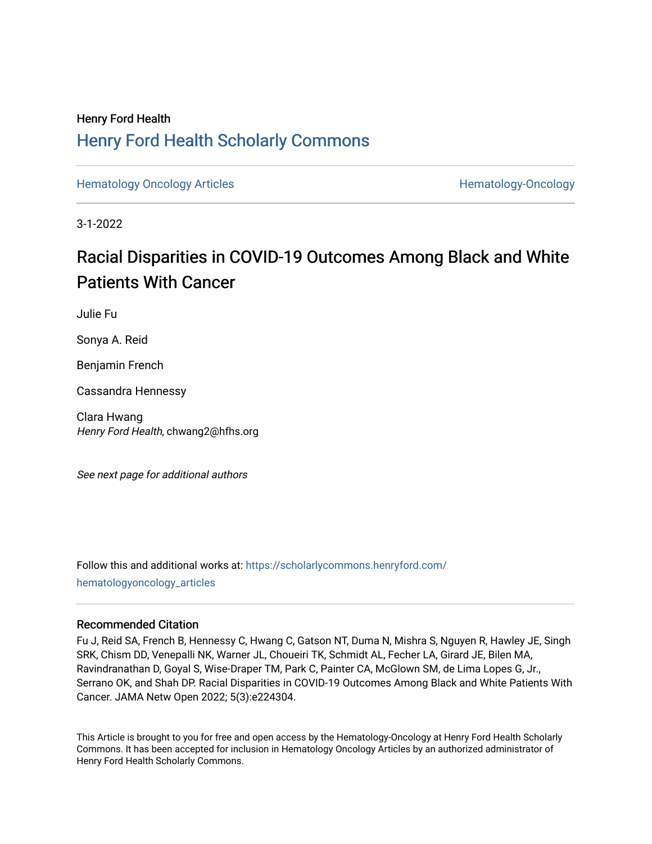# Henry Ford Health [Henry Ford Health Scholarly Commons](https://scholarlycommons.henryford.com/)

[Hematology Oncology Articles](https://scholarlycommons.henryford.com/hematologyoncology_articles) **Hematology-Oncology** Articles **Hematology-Oncology** 

3-1-2022

# Racial Disparities in COVID-19 Outcomes Among Black and White Patients With Cancer

Julie Fu

Sonya A. Reid

Benjamin French

Cassandra Hennessy

Clara Hwang Henry Ford Health, chwang2@hfhs.org

See next page for additional authors

Follow this and additional works at: [https://scholarlycommons.henryford.com/](https://scholarlycommons.henryford.com/hematologyoncology_articles?utm_source=scholarlycommons.henryford.com%2Fhematologyoncology_articles%2F235&utm_medium=PDF&utm_campaign=PDFCoverPages) [hematologyoncology\\_articles](https://scholarlycommons.henryford.com/hematologyoncology_articles?utm_source=scholarlycommons.henryford.com%2Fhematologyoncology_articles%2F235&utm_medium=PDF&utm_campaign=PDFCoverPages)

### Recommended Citation

Fu J, Reid SA, French B, Hennessy C, Hwang C, Gatson NT, Duma N, Mishra S, Nguyen R, Hawley JE, Singh SRK, Chism DD, Venepalli NK, Warner JL, Choueiri TK, Schmidt AL, Fecher LA, Girard JE, Bilen MA, Ravindranathan D, Goyal S, Wise-Draper TM, Park C, Painter CA, McGlown SM, de Lima Lopes G, Jr., Serrano OK, and Shah DP. Racial Disparities in COVID-19 Outcomes Among Black and White Patients With Cancer. JAMA Netw Open 2022; 5(3):e224304.

This Article is brought to you for free and open access by the Hematology-Oncology at Henry Ford Health Scholarly Commons. It has been accepted for inclusion in Hematology Oncology Articles by an authorized administrator of Henry Ford Health Scholarly Commons.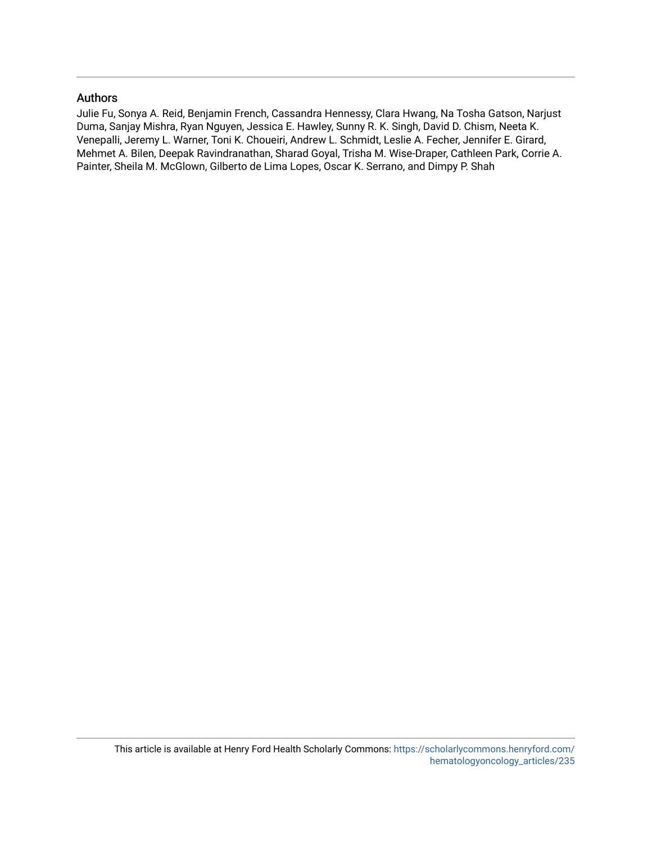### Authors

Julie Fu, Sonya A. Reid, Benjamin French, Cassandra Hennessy, Clara Hwang, Na Tosha Gatson, Narjust Duma, Sanjay Mishra, Ryan Nguyen, Jessica E. Hawley, Sunny R. K. Singh, David D. Chism, Neeta K. Venepalli, Jeremy L. Warner, Toni K. Choueiri, Andrew L. Schmidt, Leslie A. Fecher, Jennifer E. Girard, Mehmet A. Bilen, Deepak Ravindranathan, Sharad Goyal, Trisha M. Wise-Draper, Cathleen Park, Corrie A. Painter, Sheila M. McGlown, Gilberto de Lima Lopes, Oscar K. Serrano, and Dimpy P. Shah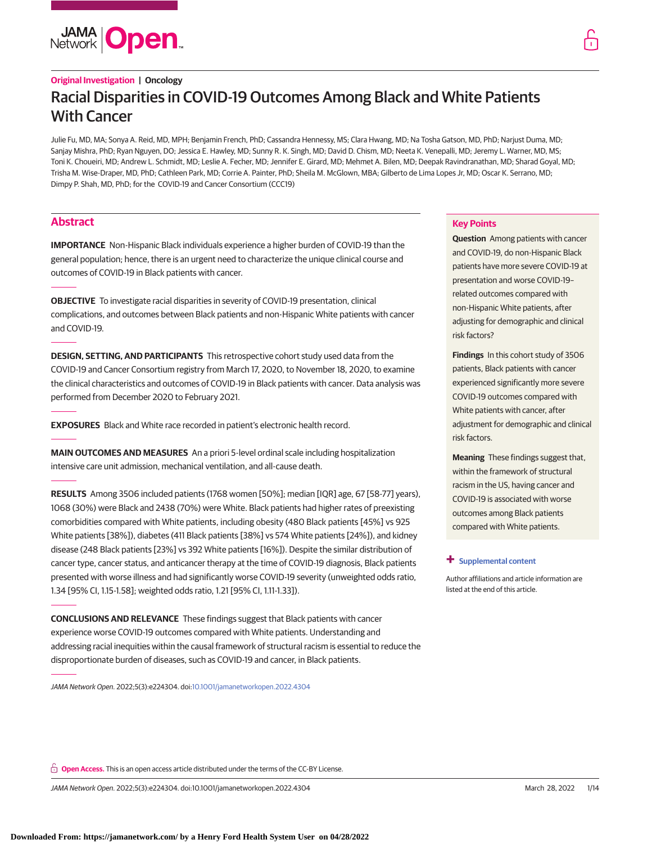# **JAMA Open**

## **Original Investigation | Oncology** Racial Disparities in COVID-19 Outcomes Among Black and White Patients With Cancer

Julie Fu, MD, MA; Sonya A. Reid, MD, MPH; Benjamin French, PhD; Cassandra Hennessy, MS; Clara Hwang, MD; Na Tosha Gatson, MD, PhD; Narjust Duma, MD; Sanjay Mishra, PhD; Ryan Nguyen, DO; Jessica E. Hawley, MD; Sunny R. K. Singh, MD; David D. Chism, MD; Neeta K. Venepalli, MD; Jeremy L. Warner, MD, MS; Toni K. Choueiri, MD; Andrew L. Schmidt, MD; Leslie A. Fecher, MD; Jennifer E. Girard, MD; Mehmet A. Bilen, MD; Deepak Ravindranathan, MD; Sharad Goyal, MD; Trisha M. Wise-Draper, MD, PhD; Cathleen Park, MD; Corrie A. Painter, PhD; Sheila M. McGlown, MBA; Gilberto de Lima Lopes Jr, MD; Oscar K. Serrano, MD; Dimpy P. Shah, MD, PhD; for the COVID-19 and Cancer Consortium (CCC19)

### **Abstract**

**IMPORTANCE** Non-Hispanic Black individuals experience a higher burden of COVID-19 than the general population; hence, there is an urgent need to characterize the unique clinical course and outcomes of COVID-19 in Black patients with cancer.

**OBJECTIVE** To investigate racial disparities in severity of COVID-19 presentation, clinical complications, and outcomes between Black patients and non-Hispanic White patients with cancer and COVID-19.

**DESIGN, SETTING, AND PARTICIPANTS** This retrospective cohort study used data from the COVID-19 and Cancer Consortium registry from March 17, 2020, to November 18, 2020, to examine the clinical characteristics and outcomes of COVID-19 in Black patients with cancer. Data analysis was performed from December 2020 to February 2021.

**EXPOSURES** Black and White race recorded in patient's electronic health record.

**MAIN OUTCOMES AND MEASURES** An a priori 5-level ordinal scale including hospitalization intensive care unit admission, mechanical ventilation, and all-cause death.

**RESULTS** Among 3506 included patients (1768 women [50%]; median [IQR] age, 67 [58-77] years), 1068 (30%) were Black and 2438 (70%) were White. Black patients had higher rates of preexisting comorbidities compared with White patients, including obesity (480 Black patients [45%] vs 925 White patients [38%]), diabetes (411 Black patients [38%] vs 574 White patients [24%]), and kidney disease (248 Black patients [23%] vs 392 White patients [16%]). Despite the similar distribution of cancer type, cancer status, and anticancer therapy at the time of COVID-19 diagnosis, Black patients presented with worse illness and had significantly worse COVID-19 severity (unweighted odds ratio, 1.34 [95% CI, 1.15-1.58]; weighted odds ratio, 1.21 [95% CI, 1.11-1.33]).

**CONCLUSIONS AND RELEVANCE** These findings suggest that Black patients with cancer experience worse COVID-19 outcomes compared with White patients. Understanding and addressing racial inequities within the causal framework of structural racism is essential to reduce the disproportionate burden of diseases, such as COVID-19 and cancer, in Black patients.

JAMA Network Open. 2022;5(3):e224304. doi[:10.1001/jamanetworkopen.2022.4304](https://jama.jamanetwork.com/article.aspx?doi=10.1001/jamanetworkopen.2022.4304&utm_campaign=articlePDF%26utm_medium=articlePDFlink%26utm_source=articlePDF%26utm_content=jamanetworkopen.2022.4304)

### **Key Points**

**Question** Among patients with cancer and COVID-19, do non-Hispanic Black patients have more severe COVID-19 at presentation and worse COVID-19– related outcomes compared with non-Hispanic White patients, after adjusting for demographic and clinical risk factors?

**Findings** In this cohort study of 3506 patients, Black patients with cancer experienced significantly more severe COVID-19 outcomes compared with White patients with cancer, after adjustment for demographic and clinical risk factors.

**Meaning** These findings suggest that, within the framework of structural racism in the US, having cancer and COVID-19 is associated with worse outcomes among Black patients compared with White patients.

#### **+ [Supplemental content](https://jama.jamanetwork.com/article.aspx?doi=10.1001/jamanetworkopen.2022.4304&utm_campaign=articlePDF%26utm_medium=articlePDFlink%26utm_source=articlePDF%26utm_content=jamanetworkopen.2022.4304)**

Author affiliations and article information are listed at the end of this article.

**Open Access.** This is an open access article distributed under the terms of the CC-BY License.

JAMA Network Open. 2022;5(3):e224304. doi:10.1001/jamanetworkopen.2022.4304 (Reprinted) March 28, 2022 1/14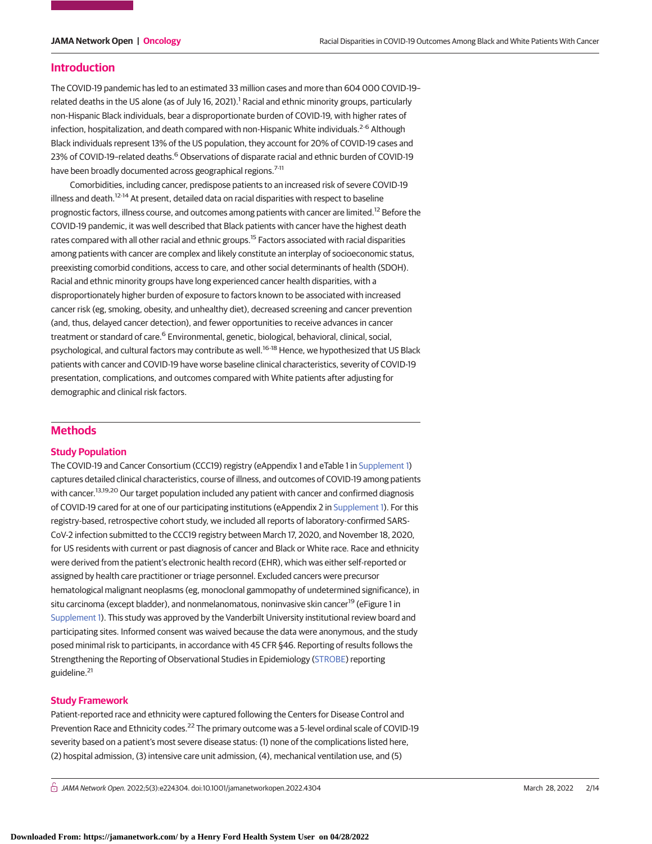#### **Introduction**

The COVID-19 pandemic has led to an estimated 33 million cases and more than 604 000 COVID-19– related deaths in the US alone (as of July 16, 2021).<sup>1</sup> Racial and ethnic minority groups, particularly non-Hispanic Black individuals, bear a disproportionate burden of COVID-19, with higher rates of infection, hospitalization, and death compared with non-Hispanic White individuals.<sup>2-6</sup> Although Black individuals represent 13% of the US population, they account for 20% of COVID-19 cases and 23% of COVID-19-related deaths.<sup>6</sup> Observations of disparate racial and ethnic burden of COVID-19 have been broadly documented across geographical regions.<sup>7-11</sup>

Comorbidities, including cancer, predispose patients to an increased risk of severe COVID-19 illness and death.<sup>12-14</sup> At present, detailed data on racial disparities with respect to baseline prognostic factors, illness course, and outcomes among patients with cancer are limited.<sup>12</sup> Before the COVID-19 pandemic, it was well described that Black patients with cancer have the highest death rates compared with all other racial and ethnic groups.<sup>15</sup> Factors associated with racial disparities among patients with cancer are complex and likely constitute an interplay of socioeconomic status, preexisting comorbid conditions, access to care, and other social determinants of health (SDOH). Racial and ethnic minority groups have long experienced cancer health disparities, with a disproportionately higher burden of exposure to factors known to be associated with increased cancer risk (eg, smoking, obesity, and unhealthy diet), decreased screening and cancer prevention (and, thus, delayed cancer detection), and fewer opportunities to receive advances in cancer treatment or standard of care.<sup>6</sup> Environmental, genetic, biological, behavioral, clinical, social, psychological, and cultural factors may contribute as well.<sup>16-18</sup> Hence, we hypothesized that US Black patients with cancer and COVID-19 have worse baseline clinical characteristics, severity of COVID-19 presentation, complications, and outcomes compared with White patients after adjusting for demographic and clinical risk factors.

#### **Methods**

#### **Study Population**

The COVID-19 and Cancer Consortium (CCC19) registry (eAppendix 1 and eTable 1 in [Supplement 1\)](https://jama.jamanetwork.com/article.aspx?doi=10.1001/jamanetworkopen.2022.4304&utm_campaign=articlePDF%26utm_medium=articlePDFlink%26utm_source=articlePDF%26utm_content=jamanetworkopen.2022.4304) captures detailed clinical characteristics, course of illness, and outcomes of COVID-19 among patients with cancer.<sup>13,19,20</sup> Our target population included any patient with cancer and confirmed diagnosis of COVID-19 cared for at one of our participating institutions (eAppendix 2 in [Supplement 1\)](https://jama.jamanetwork.com/article.aspx?doi=10.1001/jamanetworkopen.2022.4304&utm_campaign=articlePDF%26utm_medium=articlePDFlink%26utm_source=articlePDF%26utm_content=jamanetworkopen.2022.4304). For this registry-based, retrospective cohort study, we included all reports of laboratory-confirmed SARS-CoV-2 infection submitted to the CCC19 registry between March 17, 2020, and November 18, 2020, for US residents with current or past diagnosis of cancer and Black or White race. Race and ethnicity were derived from the patient's electronic health record (EHR), which was either self-reported or assigned by health care practitioner or triage personnel. Excluded cancers were precursor hematological malignant neoplasms (eg, monoclonal gammopathy of undetermined significance), in situ carcinoma (except bladder), and nonmelanomatous, noninvasive skin cancer<sup>19</sup> (eFigure 1 in [Supplement 1\)](https://jama.jamanetwork.com/article.aspx?doi=10.1001/jamanetworkopen.2022.4304&utm_campaign=articlePDF%26utm_medium=articlePDFlink%26utm_source=articlePDF%26utm_content=jamanetworkopen.2022.4304). This study was approved by the Vanderbilt University institutional review board and participating sites. Informed consent was waived because the data were anonymous, and the study posed minimal risk to participants, in accordance with 45 CFR §46. Reporting of results follows the Strengthening the Reporting of Observational Studies in Epidemiology [\(STROBE\)](http://www.equator-network.org/reporting-guidelines/strobe/) reporting guideline.<sup>21</sup>

#### **Study Framework**

Patient-reported race and ethnicity were captured following the Centers for Disease Control and Prevention Race and Ethnicity codes.<sup>22</sup> The primary outcome was a 5-level ordinal scale of COVID-19 severity based on a patient's most severe disease status: (1) none of the complications listed here, (2) hospital admission, (3) intensive care unit admission, (4), mechanical ventilation use, and (5)

 $\bigcap$  JAMA Network Open. 2022;5(3):e224304. doi:10.1001/jamanetworkopen.2022.4304 (Reprinted) March 28, 2022 2/14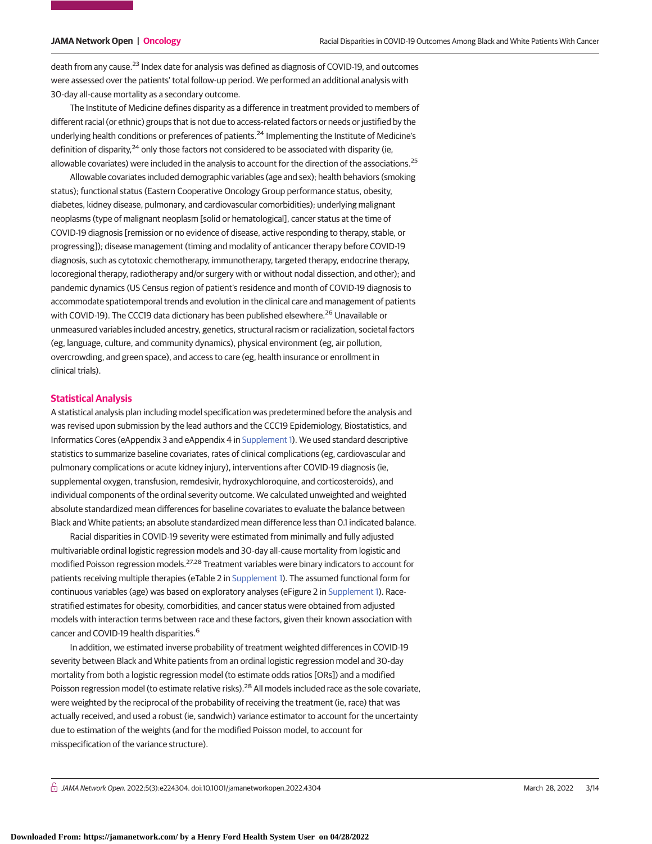death from any cause.<sup>23</sup> Index date for analysis was defined as diagnosis of COVID-19, and outcomes were assessed over the patients' total follow-up period. We performed an additional analysis with 30-day all-cause mortality as a secondary outcome.

The Institute of Medicine defines disparity as a difference in treatment provided to members of different racial (or ethnic) groups that is not due to access-related factors or needs or justified by the underlying health conditions or preferences of patients.<sup>24</sup> Implementing the Institute of Medicine's definition of disparity, $24$  only those factors not considered to be associated with disparity (ie, allowable covariates) were included in the analysis to account for the direction of the associations.<sup>25</sup>

Allowable covariates included demographic variables (age and sex); health behaviors (smoking status); functional status (Eastern Cooperative Oncology Group performance status, obesity, diabetes, kidney disease, pulmonary, and cardiovascular comorbidities); underlying malignant neoplasms (type of malignant neoplasm [solid or hematological], cancer status at the time of COVID-19 diagnosis [remission or no evidence of disease, active responding to therapy, stable, or progressing]); disease management (timing and modality of anticancer therapy before COVID-19 diagnosis, such as cytotoxic chemotherapy, immunotherapy, targeted therapy, endocrine therapy, locoregional therapy, radiotherapy and/or surgery with or without nodal dissection, and other); and pandemic dynamics (US Census region of patient's residence and month of COVID-19 diagnosis to accommodate spatiotemporal trends and evolution in the clinical care and management of patients with COVID-19). The CCC19 data dictionary has been published elsewhere.<sup>26</sup> Unavailable or unmeasured variables included ancestry, genetics, structural racism or racialization, societal factors (eg, language, culture, and community dynamics), physical environment (eg, air pollution, overcrowding, and green space), and access to care (eg, health insurance or enrollment in clinical trials).

#### **Statistical Analysis**

A statistical analysis plan including model specification was predetermined before the analysis and was revised upon submission by the lead authors and the CCC19 Epidemiology, Biostatistics, and Informatics Cores (eAppendix 3 and eAppendix 4 in [Supplement 1\)](https://jama.jamanetwork.com/article.aspx?doi=10.1001/jamanetworkopen.2022.4304&utm_campaign=articlePDF%26utm_medium=articlePDFlink%26utm_source=articlePDF%26utm_content=jamanetworkopen.2022.4304). We used standard descriptive statistics to summarize baseline covariates, rates of clinical complications (eg, cardiovascular and pulmonary complications or acute kidney injury), interventions after COVID-19 diagnosis (ie, supplemental oxygen, transfusion, remdesivir, hydroxychloroquine, and corticosteroids), and individual components of the ordinal severity outcome. We calculated unweighted and weighted absolute standardized mean differences for baseline covariates to evaluate the balance between Black and White patients; an absolute standardized mean difference less than 0.1 indicated balance.

Racial disparities in COVID-19 severity were estimated from minimally and fully adjusted multivariable ordinal logistic regression models and 30-day all-cause mortality from logistic and modified Poisson regression models.27,28 Treatment variables were binary indicators to account for patients receiving multiple therapies (eTable 2 in [Supplement 1\)](https://jama.jamanetwork.com/article.aspx?doi=10.1001/jamanetworkopen.2022.4304&utm_campaign=articlePDF%26utm_medium=articlePDFlink%26utm_source=articlePDF%26utm_content=jamanetworkopen.2022.4304). The assumed functional form for continuous variables (age) was based on exploratory analyses (eFigure 2 in [Supplement 1\)](https://jama.jamanetwork.com/article.aspx?doi=10.1001/jamanetworkopen.2022.4304&utm_campaign=articlePDF%26utm_medium=articlePDFlink%26utm_source=articlePDF%26utm_content=jamanetworkopen.2022.4304). Racestratified estimates for obesity, comorbidities, and cancer status were obtained from adjusted models with interaction terms between race and these factors, given their known association with cancer and COVID-19 health disparities.<sup>6</sup>

In addition, we estimated inverse probability of treatment weighted differences in COVID-19 severity between Black and White patients from an ordinal logistic regression model and 30-day mortality from both a logistic regression model (to estimate odds ratios [ORs]) and a modified Poisson regression model (to estimate relative risks).<sup>28</sup> All models included race as the sole covariate, were weighted by the reciprocal of the probability of receiving the treatment (ie, race) that was actually received, and used a robust (ie, sandwich) variance estimator to account for the uncertainty due to estimation of the weights (and for the modified Poisson model, to account for misspecification of the variance structure).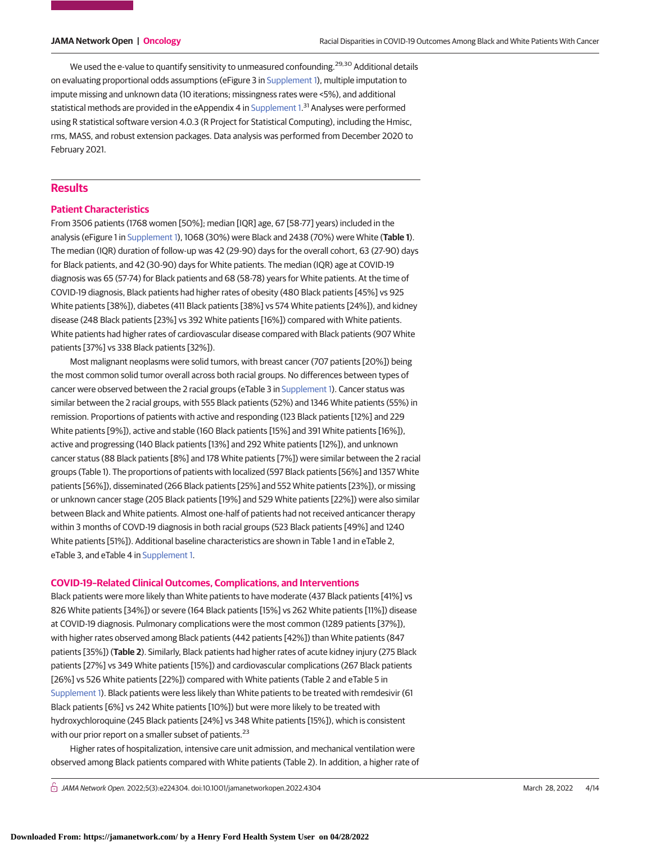We used the e-value to quantify sensitivity to unmeasured confounding.<sup>29,30</sup> Additional details on evaluating proportional odds assumptions (eFigure 3 in [Supplement 1\)](https://jama.jamanetwork.com/article.aspx?doi=10.1001/jamanetworkopen.2022.4304&utm_campaign=articlePDF%26utm_medium=articlePDFlink%26utm_source=articlePDF%26utm_content=jamanetworkopen.2022.4304), multiple imputation to impute missing and unknown data (10 iterations; missingness rates were <5%), and additional statistical methods are provided in the eAppendix 4 in [Supplement 1.](https://jama.jamanetwork.com/article.aspx?doi=10.1001/jamanetworkopen.2022.4304&utm_campaign=articlePDF%26utm_medium=articlePDFlink%26utm_source=articlePDF%26utm_content=jamanetworkopen.2022.4304)<sup>31</sup> Analyses were performed using R statistical software version 4.0.3 (R Project for Statistical Computing), including the Hmisc, rms, MASS, and robust extension packages. Data analysis was performed from December 2020 to February 2021.

### **Results**

#### **Patient Characteristics**

From 3506 patients (1768 women [50%]; median [IQR] age, 67 [58-77] years) included in the analysis (eFigure 1 in [Supplement 1\)](https://jama.jamanetwork.com/article.aspx?doi=10.1001/jamanetworkopen.2022.4304&utm_campaign=articlePDF%26utm_medium=articlePDFlink%26utm_source=articlePDF%26utm_content=jamanetworkopen.2022.4304), 1068 (30%) were Black and 2438 (70%) were White (**Table 1**). The median (IQR) duration of follow-up was 42 (29-90) days for the overall cohort, 63 (27-90) days for Black patients, and 42 (30-90) days for White patients. The median (IQR) age at COVID-19 diagnosis was 65 (57-74) for Black patients and 68 (58-78) years for White patients. At the time of COVID-19 diagnosis, Black patients had higher rates of obesity (480 Black patients [45%] vs 925 White patients [38%]), diabetes (411 Black patients [38%] vs 574 White patients [24%]), and kidney disease (248 Black patients [23%] vs 392 White patients [16%]) compared with White patients. White patients had higher rates of cardiovascular disease compared with Black patients (907 White patients [37%] vs 338 Black patients [32%]).

Most malignant neoplasms were solid tumors, with breast cancer (707 patients [20%]) being the most common solid tumor overall across both racial groups. No differences between types of cancer were observed between the 2 racial groups (eTable 3 in [Supplement 1\)](https://jama.jamanetwork.com/article.aspx?doi=10.1001/jamanetworkopen.2022.4304&utm_campaign=articlePDF%26utm_medium=articlePDFlink%26utm_source=articlePDF%26utm_content=jamanetworkopen.2022.4304). Cancer status was similar between the 2 racial groups, with 555 Black patients (52%) and 1346 White patients (55%) in remission. Proportions of patients with active and responding (123 Black patients [12%] and 229 White patients [9%]), active and stable (160 Black patients [15%] and 391 White patients [16%]), active and progressing (140 Black patients [13%] and 292 White patients [12%]), and unknown cancer status (88 Black patients [8%] and 178 White patients [7%]) were similar between the 2 racial groups (Table 1). The proportions of patients with localized (597 Black patients [56%] and 1357 White patients [56%]), disseminated (266 Black patients [25%] and 552 White patients [23%]), or missing or unknown cancer stage (205 Black patients [19%] and 529 White patients [22%]) were also similar between Black and White patients. Almost one-half of patients had not received anticancer therapy within 3 months of COVD-19 diagnosis in both racial groups (523 Black patients [49%] and 1240 White patients [51%]). Additional baseline characteristics are shown in Table 1 and in eTable 2, eTable 3, and eTable 4 in [Supplement 1.](https://jama.jamanetwork.com/article.aspx?doi=10.1001/jamanetworkopen.2022.4304&utm_campaign=articlePDF%26utm_medium=articlePDFlink%26utm_source=articlePDF%26utm_content=jamanetworkopen.2022.4304)

#### **COVID-19–Related Clinical Outcomes, Complications, and Interventions**

Black patients were more likely than White patients to have moderate (437 Black patients [41%] vs 826 White patients [34%]) or severe (164 Black patients [15%] vs 262 White patients [11%]) disease at COVID-19 diagnosis. Pulmonary complications were the most common (1289 patients [37%]), with higher rates observed among Black patients (442 patients [42%]) than White patients (847 patients [35%]) (**Table 2**). Similarly, Black patients had higher rates of acute kidney injury (275 Black patients [27%] vs 349 White patients [15%]) and cardiovascular complications (267 Black patients [26%] vs 526 White patients [22%]) compared with White patients (Table 2 and eTable 5 in [Supplement 1\)](https://jama.jamanetwork.com/article.aspx?doi=10.1001/jamanetworkopen.2022.4304&utm_campaign=articlePDF%26utm_medium=articlePDFlink%26utm_source=articlePDF%26utm_content=jamanetworkopen.2022.4304). Black patients were less likely than White patients to be treated with remdesivir (61 Black patients [6%] vs 242 White patients [10%]) but were more likely to be treated with hydroxychloroquine (245 Black patients [24%] vs 348 White patients [15%]), which is consistent with our prior report on a smaller subset of patients.<sup>23</sup>

Higher rates of hospitalization, intensive care unit admission, and mechanical ventilation were observed among Black patients compared with White patients (Table 2). In addition, a higher rate of

 $\bigcap$  JAMA Network Open. 2022;5(3):e224304. doi:10.1001/jamanetworkopen.2022.4304 (Reprinted) March 28, 2022 4/14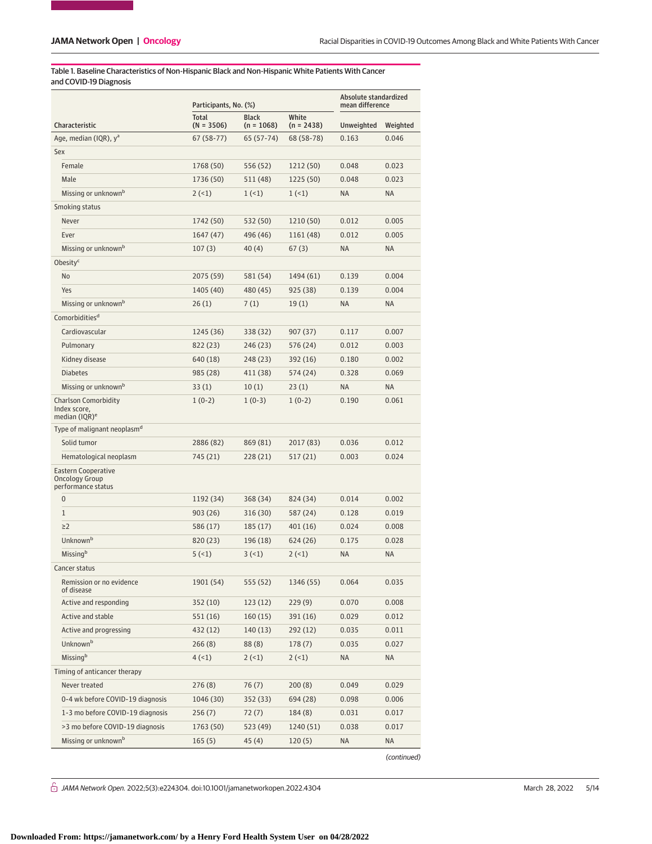Table 1. Baseline Characteristics of Non-Hispanic Black and Non-Hispanic White Patients With Cancer and COVID-19 Diagnosis

|                                                                          | Participants, No. (%)        |                              |                       | Absolute standardized<br>mean difference |           |
|--------------------------------------------------------------------------|------------------------------|------------------------------|-----------------------|------------------------------------------|-----------|
| Characteristic                                                           | <b>Total</b><br>$(N = 3506)$ | <b>Black</b><br>$(n = 1068)$ | White<br>$(n = 2438)$ | Unweighted                               | Weighted  |
| Age, median (IQR), y <sup>a</sup>                                        | 67 (58-77)                   | 65 (57-74)                   | 68 (58-78)            | 0.163                                    | 0.046     |
| Sex                                                                      |                              |                              |                       |                                          |           |
| Female                                                                   | 1768 (50)                    | 556 (52)                     | 1212 (50)             | 0.048                                    | 0.023     |
| Male                                                                     | 1736 (50)                    | 511 (48)                     | 1225 (50)             | 0.048                                    | 0.023     |
| Missing or unknown <sup>b</sup>                                          | 2(1)                         | 1(1)                         | 1(1)                  | <b>NA</b>                                | <b>NA</b> |
| Smoking status                                                           |                              |                              |                       |                                          |           |
| Never                                                                    | 1742 (50)                    | 532 (50)                     | 1210 (50)             | 0.012                                    | 0.005     |
| Ever                                                                     | 1647 (47)                    | 496 (46)                     | 1161 (48)             | 0.012                                    | 0.005     |
| Missing or unknown <sup>b</sup>                                          | 107(3)                       | 40(4)                        | 67(3)                 | <b>NA</b>                                | <b>NA</b> |
| Obesity <sup>c</sup>                                                     |                              |                              |                       |                                          |           |
| <b>No</b>                                                                | 2075 (59)                    | 581 (54)                     | 1494 (61)             | 0.139                                    | 0.004     |
| Yes                                                                      | 1405 (40)                    | 480 (45)                     | 925 (38)              | 0.139                                    | 0.004     |
| Missing or unknown <sup>b</sup>                                          | 26(1)                        | 7(1)                         | 19(1)                 | <b>NA</b>                                | <b>NA</b> |
| Comorbidities <sup>d</sup>                                               |                              |                              |                       |                                          |           |
| Cardiovascular                                                           | 1245 (36)                    | 338 (32)                     | 907 (37)              | 0.117                                    | 0.007     |
| Pulmonary                                                                | 822 (23)                     | 246(23)                      | 576 (24)              | 0.012                                    | 0.003     |
| Kidney disease                                                           | 640 (18)                     | 248 (23)                     | 392 (16)              | 0.180                                    | 0.002     |
| <b>Diabetes</b>                                                          | 985 (28)                     | 411 (38)                     | 574 (24)              | 0.328                                    | 0.069     |
| Missing or unknown <sup>b</sup>                                          | 33(1)                        | 10(1)                        | 23(1)                 | <b>NA</b>                                | <b>NA</b> |
| <b>Charlson Comorbidity</b><br>Index score,<br>median (IQR) <sup>e</sup> | $1(0-2)$                     | $1(0-3)$                     | $1(0-2)$              | 0.190                                    | 0.061     |
| Type of malignant neoplasm <sup>d</sup>                                  |                              |                              |                       |                                          |           |
| Solid tumor                                                              | 2886 (82)                    | 869 (81)                     | 2017 (83)             | 0.036                                    | 0.012     |
| Hematological neoplasm                                                   | 745 (21)                     | 228 (21)                     | 517 (21)              | 0.003                                    | 0.024     |
| Eastern Cooperative<br><b>Oncology Group</b><br>performance status       |                              |                              |                       |                                          |           |
| $\overline{0}$                                                           | 1192 (34)                    | 368 (34)                     | 824 (34)              | 0.014                                    | 0.002     |
| 1                                                                        | 903 (26)                     | 316 (30)                     | 587 (24)              | 0.128                                    | 0.019     |
| $\geq$ 2                                                                 | 586 (17)                     | 185(17)                      | 401 (16)              | 0.024                                    | 0.008     |
| Unknownb                                                                 | 820 (23)                     | 196 (18)                     | 624 (26)              | 0.175                                    | 0.028     |
| Missingb                                                                 | 5(1)                         | 3(1)                         | 2(1)                  | <b>NA</b>                                | <b>NA</b> |
| Cancer status                                                            |                              |                              |                       |                                          |           |
| Remission or no evidence<br>of disease                                   | 1901 (54)                    | 555 (52)                     | 1346 (55)             | 0.064                                    | 0.035     |
| Active and responding                                                    | 352 (10)                     | 123(12)                      | 229(9)                | 0.070                                    | 0.008     |
| Active and stable                                                        | 551(16)                      | 160(15)                      | 391 (16)              | 0.029                                    | 0.012     |
| Active and progressing                                                   | 432 (12)                     | 140 (13)                     | 292 (12)              | 0.035                                    | 0.011     |
| Unknown <sup>b</sup>                                                     | 266 (8)                      | 88(8)                        | 178(7)                | 0.035                                    | 0.027     |
| Missingb                                                                 | 4(1)                         | 2(1)                         | 2(1)                  | ΝA                                       | NA        |
| Timing of anticancer therapy                                             |                              |                              |                       |                                          |           |
| Never treated                                                            | 276(8)                       | 76(7)                        | 200(8)                | 0.049                                    | 0.029     |
| 0-4 wk before COVID-19 diagnosis                                         | 1046 (30)                    | 352 (33)                     | 694 (28)              | 0.098                                    | 0.006     |
| 1-3 mo before COVID-19 diagnosis                                         | 256 (7)                      | 72(7)                        | 184 (8)               | 0.031                                    | 0.017     |
| >3 mo before COVID-19 diagnosis                                          | 1763 (50)                    | 523 (49)                     | 1240 (51)             | 0.038                                    | 0.017     |
| Missing or unknown <sup>b</sup>                                          | 165(5)                       | 45(4)                        | 120(5)                | ΝA                                       | NA        |
|                                                                          |                              |                              |                       |                                          |           |

(continued)

 $\stackrel{\frown}{\Box}$  JAMA Network Open. 2022;5(3):e224304. doi:10.1001/jamanetworkopen.2022.4304 (Reprinted) March 28, 2022 5/14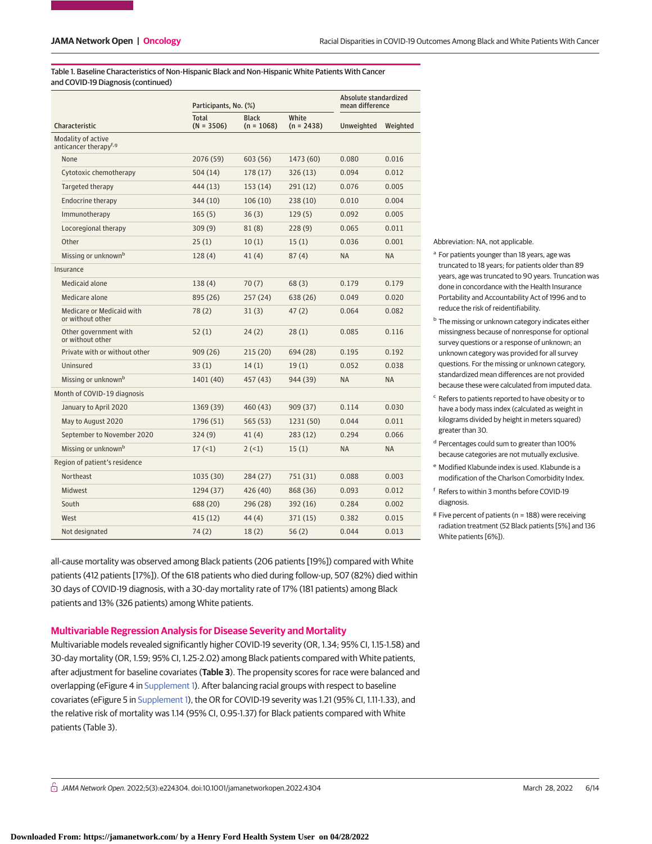Table 1. Baseline Characteristics of Non-Hispanic Black and Non-Hispanic White Patients With Cancer and COVID-19 Diagnosis (continued)

|                                                          |                                               | Participants, No. (%) |                              |                       | Absolute standardized<br>mean difference |           |  |
|----------------------------------------------------------|-----------------------------------------------|-----------------------|------------------------------|-----------------------|------------------------------------------|-----------|--|
|                                                          | Characteristic                                | Total<br>$(N = 3506)$ | <b>Black</b><br>$(n = 1068)$ | White<br>$(n = 2438)$ | Unweighted                               | Weighted  |  |
| Modality of active<br>anticancer therapy <sup>f, g</sup> |                                               |                       |                              |                       |                                          |           |  |
|                                                          | None                                          | 2076 (59)             | 603 (56)                     | 1473 (60)             | 0.080                                    | 0.016     |  |
|                                                          | Cytotoxic chemotherapy                        | 504(14)               | 178 (17)                     | 326(13)               | 0.094                                    | 0.012     |  |
|                                                          | Targeted therapy                              | 444 (13)              | 153 (14)                     | 291 (12)              | 0.076                                    | 0.005     |  |
|                                                          | Endocrine therapy                             | 344 (10)              | 106(10)                      | 238 (10)              | 0.010                                    | 0.004     |  |
|                                                          | Immunotherapy                                 | 165(5)                | 36(3)                        | 129(5)                | 0.092                                    | 0.005     |  |
|                                                          | Locoregional therapy                          | 309(9)                | 81(8)                        | 228(9)                | 0.065                                    | 0.011     |  |
|                                                          | Other                                         | 25(1)                 | 10(1)                        | 15(1)                 | 0.036                                    | 0.001     |  |
|                                                          | Missing or unknown <sup>b</sup>               | 128(4)                | 41(4)                        | 87(4)                 | <b>NA</b>                                | <b>NA</b> |  |
|                                                          | Insurance                                     |                       |                              |                       |                                          |           |  |
|                                                          | Medicaid alone                                | 138(4)                | 70(7)                        | 68(3)                 | 0.179                                    | 0.179     |  |
|                                                          | Medicare alone                                | 895 (26)              | 257 (24)                     | 638 (26)              | 0.049                                    | 0.020     |  |
|                                                          | Medicare or Medicaid with<br>or without other | 78(2)                 | 31(3)                        | 47(2)                 | 0.064                                    | 0.082     |  |
|                                                          | Other government with<br>or without other     | 52(1)                 | 24(2)                        | 28(1)                 | 0.085                                    | 0.116     |  |
|                                                          | Private with or without other                 | 909(26)               | 215 (20)                     | 694 (28)              | 0.195                                    | 0.192     |  |
|                                                          | Uninsured                                     | 33(1)                 | 14(1)                        | 19(1)                 | 0.052                                    | 0.038     |  |
|                                                          | Missing or unknown <sup>b</sup>               | 1401 (40)             | 457 (43)                     | 944 (39)              | <b>NA</b>                                | <b>NA</b> |  |
|                                                          | Month of COVID-19 diagnosis                   |                       |                              |                       |                                          |           |  |
|                                                          | January to April 2020                         | 1369 (39)             | 460 (43)                     | 909 (37)              | 0.114                                    | 0.030     |  |
|                                                          | May to August 2020                            | 1796 (51)             | 565 (53)                     | 1231 (50)             | 0.044                                    | 0.011     |  |
|                                                          | September to November 2020                    | 324(9)                | 41(4)                        | 283(12)               | 0.294                                    | 0.066     |  |
|                                                          | Missing or unknown <sup>b</sup>               | 17(1)                 | 2(1)                         | 15(1)                 | <b>NA</b>                                | <b>NA</b> |  |
| Region of patient's residence                            |                                               |                       |                              |                       |                                          |           |  |
|                                                          | Northeast                                     | 1035 (30)             | 284 (27)                     | 751 (31)              | 0.088                                    | 0.003     |  |
|                                                          | Midwest                                       | 1294 (37)             | 426 (40)                     | 868 (36)              | 0.093                                    | 0.012     |  |
|                                                          | South                                         | 688 (20)              | 296 (28)                     | 392 (16)              | 0.284                                    | 0.002     |  |
|                                                          | West                                          | 415(12)               | 44 (4)                       | 371(15)               | 0.382                                    | 0.015     |  |
|                                                          | Not designated                                | 74(2)                 | 18(2)                        | 56(2)                 | 0.044                                    | 0.013     |  |

all-cause mortality was observed among Black patients (206 patients [19%]) compared with White patients (412 patients [17%]). Of the 618 patients who died during follow-up, 507 (82%) died within 30 days of COVID-19 diagnosis, with a 30-day mortality rate of 17% (181 patients) among Black patients and 13% (326 patients) among White patients.

#### **Multivariable Regression Analysis for Disease Severity and Mortality**

Multivariable models revealed significantly higher COVID-19 severity (OR, 1.34; 95% CI, 1.15-1.58) and 30-day mortality (OR, 1.59; 95% CI, 1.25-2.02) among Black patients compared with White patients, after adjustment for baseline covariates (**Table 3**). The propensity scores for race were balanced and overlapping (eFigure 4 in [Supplement 1\)](https://jama.jamanetwork.com/article.aspx?doi=10.1001/jamanetworkopen.2022.4304&utm_campaign=articlePDF%26utm_medium=articlePDFlink%26utm_source=articlePDF%26utm_content=jamanetworkopen.2022.4304). After balancing racial groups with respect to baseline covariates (eFigure 5 in [Supplement 1\)](https://jama.jamanetwork.com/article.aspx?doi=10.1001/jamanetworkopen.2022.4304&utm_campaign=articlePDF%26utm_medium=articlePDFlink%26utm_source=articlePDF%26utm_content=jamanetworkopen.2022.4304), the OR for COVID-19 severity was 1.21 (95% CI, 1.11-1.33), and the relative risk of mortality was 1.14 (95% CI, 0.95-1.37) for Black patients compared with White patients (Table 3).

Abbreviation: NA, not applicable.

- <sup>a</sup> For patients younger than 18 years, age was truncated to 18 years; for patients older than 89 years, age was truncated to 90 years. Truncation was done in concordance with the Health Insurance Portability and Accountability Act of 1996 and to reduce the risk of reidentifiability.
- **b** The missing or unknown category indicates either missingness because of nonresponse for optional survey questions or a response of unknown; an unknown category was provided for all survey questions. For the missing or unknown category, standardized mean differences are not provided because these were calculated from imputed data.
- <sup>c</sup> Refers to patients reported to have obesity or to have a body mass index (calculated as weight in kilograms divided by height in meters squared) greater than 30.
- <sup>d</sup> Percentages could sum to greater than 100% because categories are not mutually exclusive.
- <sup>e</sup> Modified Klabunde index is used. Klabunde is a modification of the Charlson Comorbidity Index.
- <sup>f</sup> Refers to within 3 months before COVID-19 diagnosis.
- $g$  Five percent of patients (n = 188) were receiving radiation treatment (52 Black patients [5%] and 136 White patients [6%]).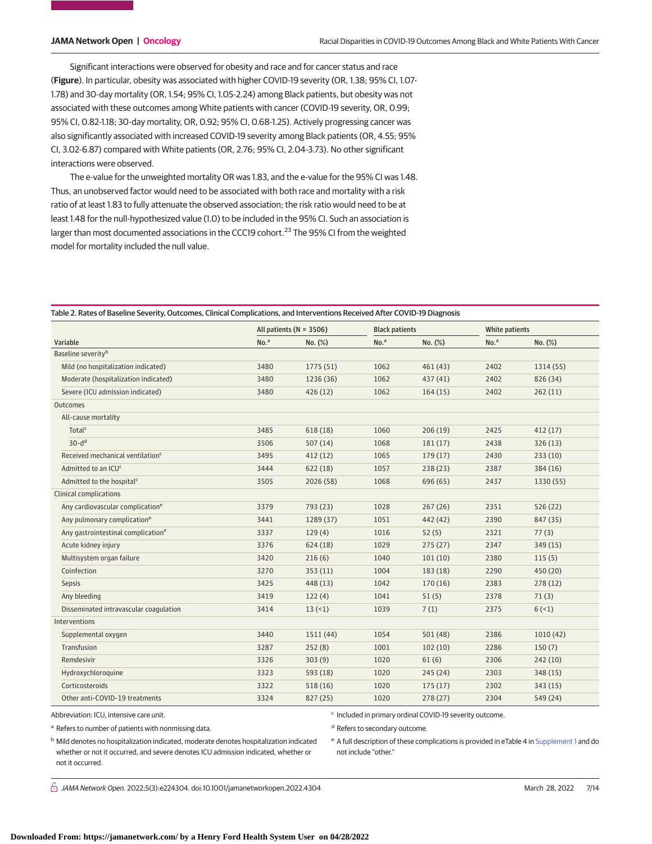Significant interactions were observed for obesity and race and for cancer status and race (**Figure**). In particular, obesity was associated with higher COVID-19 severity (OR, 1.38; 95% CI, 1.07- 1.78) and 30-day mortality (OR, 1.54; 95% CI, 1.05-2.24) among Black patients, but obesity was not associated with these outcomes among White patients with cancer (COVID-19 severity, OR, 0.99; 95% CI, 0.82-1.18; 30-day mortality, OR, 0.92; 95% CI, 0.68-1.25). Actively progressing cancer was also significantly associated with increased COVID-19 severity among Black patients (OR, 4.55; 95% CI, 3.02-6.87) compared with White patients (OR, 2.76; 95% CI, 2.04-3.73). No other significant interactions were observed.

The e-value for the unweighted mortality OR was 1.83, and the e-value for the 95% CI was 1.48. Thus, an unobserved factor would need to be associated with both race and mortality with a risk ratio of at least 1.83 to fully attenuate the observed association; the risk ratio would need to be at least 1.48 for the null-hypothesized value (1.0) to be included in the 95% CI. Such an association is larger than most documented associations in the CCC19 cohort.<sup>23</sup> The 95% CI from the weighted model for mortality included the null value.

| No. <sup>a</sup><br>No. <sup>a</sup><br>No. <sup>a</sup><br>Variable<br>No. (%)<br>No. (%)<br>No. (%)<br>Baseline severity <sup>b</sup><br>Mild (no hospitalization indicated)<br>3480<br>1062<br>2402<br>1775 (51)<br>461(43)<br>1314 (55)<br>Moderate (hospitalization indicated)<br>3480<br>1236 (36)<br>1062<br>437(41)<br>2402<br>826 (34)<br>Severe (ICU admission indicated)<br>3480<br>426(12)<br>1062<br>2402<br>164(15)<br>262(11)<br>Outcomes<br>All-cause mortality<br>Total <sup>c</sup><br>3485<br>618(18)<br>1060<br>206(19)<br>2425<br>412(17)<br>$30-dd$<br>3506<br>507(14)<br>1068<br>181(17)<br>2438<br>326(13)<br>Received mechanical ventilation <sup>c</sup><br>3495<br>412(12)<br>1065<br>179(17)<br>2430<br>233(10)<br>Admitted to an ICU <sup>c</sup><br>3444<br>622(18)<br>1057<br>238(23)<br>2387<br>384 (16)<br>3505<br>1068<br>2437<br>Admitted to the hospital <sup>c</sup><br>2026 (58)<br>696 (65)<br>1330 (55)<br><b>Clinical complications</b><br>Any cardiovascular complication <sup>e</sup><br>3379<br>1028<br>2351<br>526(22)<br>793 (23)<br>267(26)<br>Any pulmonary complication <sup>e</sup><br>3441<br>1289 (37)<br>1051<br>442 (42)<br>2390<br>847 (35)<br>Any gastrointestinal complication <sup>e</sup><br>3337<br>129(4)<br>1016<br>52(5)<br>2321<br>77(3)<br>3376<br>1029<br>Acute kidney injury<br>624(18)<br>275(27)<br>2347<br>349 (15)<br>Multisystem organ failure<br>3420<br>216(6)<br>101(10)<br>1040<br>2380<br>115(5)<br>Coinfection<br>3270<br>353(11)<br>1004<br>183(18)<br>2290<br>450 (20)<br>3425<br>448 (13)<br>1042<br>2383<br>278(12)<br>Sepsis<br>170(16)<br>3419<br>Any bleeding<br>122(4)<br>1041<br>51(5)<br>2378<br>71(3)<br>Disseminated intravascular coagulation<br>3414<br>13(1)<br>1039<br>7(1)<br>2375<br>6(1)<br>Interventions<br>3440<br>1054<br>2386<br>1511(44)<br>501(48)<br>1010(42)<br>Supplemental oxygen<br>Transfusion<br>3287<br>252(8)<br>1001<br>2286<br>102(10)<br>150(7)<br>Remdesivir<br>3326<br>303(9)<br>1020<br>61(6)<br>2306<br>242(10)<br>Hydroxychloroquine<br>3323<br>593 (18)<br>1020<br>245(24)<br>2303<br>348 (15)<br>3322<br>1020<br>Corticosteroids<br>518(16)<br>175(17)<br>2302<br>343 (15)<br>3324<br>1020<br>Other anti-COVID-19 treatments<br>2304 |  | All patients ( $N = 3506$ ) |          | <b>Black patients</b> |         | White patients |          |
|----------------------------------------------------------------------------------------------------------------------------------------------------------------------------------------------------------------------------------------------------------------------------------------------------------------------------------------------------------------------------------------------------------------------------------------------------------------------------------------------------------------------------------------------------------------------------------------------------------------------------------------------------------------------------------------------------------------------------------------------------------------------------------------------------------------------------------------------------------------------------------------------------------------------------------------------------------------------------------------------------------------------------------------------------------------------------------------------------------------------------------------------------------------------------------------------------------------------------------------------------------------------------------------------------------------------------------------------------------------------------------------------------------------------------------------------------------------------------------------------------------------------------------------------------------------------------------------------------------------------------------------------------------------------------------------------------------------------------------------------------------------------------------------------------------------------------------------------------------------------------------------------------------------------------------------------------------------------------------------------------------------------------------------------------------------------------------------------------------------------------------------------------------------------------------------------------------------------------------------------------------------|--|-----------------------------|----------|-----------------------|---------|----------------|----------|
|                                                                                                                                                                                                                                                                                                                                                                                                                                                                                                                                                                                                                                                                                                                                                                                                                                                                                                                                                                                                                                                                                                                                                                                                                                                                                                                                                                                                                                                                                                                                                                                                                                                                                                                                                                                                                                                                                                                                                                                                                                                                                                                                                                                                                                                                |  |                             |          |                       |         |                |          |
|                                                                                                                                                                                                                                                                                                                                                                                                                                                                                                                                                                                                                                                                                                                                                                                                                                                                                                                                                                                                                                                                                                                                                                                                                                                                                                                                                                                                                                                                                                                                                                                                                                                                                                                                                                                                                                                                                                                                                                                                                                                                                                                                                                                                                                                                |  |                             |          |                       |         |                |          |
|                                                                                                                                                                                                                                                                                                                                                                                                                                                                                                                                                                                                                                                                                                                                                                                                                                                                                                                                                                                                                                                                                                                                                                                                                                                                                                                                                                                                                                                                                                                                                                                                                                                                                                                                                                                                                                                                                                                                                                                                                                                                                                                                                                                                                                                                |  |                             |          |                       |         |                |          |
|                                                                                                                                                                                                                                                                                                                                                                                                                                                                                                                                                                                                                                                                                                                                                                                                                                                                                                                                                                                                                                                                                                                                                                                                                                                                                                                                                                                                                                                                                                                                                                                                                                                                                                                                                                                                                                                                                                                                                                                                                                                                                                                                                                                                                                                                |  |                             |          |                       |         |                |          |
|                                                                                                                                                                                                                                                                                                                                                                                                                                                                                                                                                                                                                                                                                                                                                                                                                                                                                                                                                                                                                                                                                                                                                                                                                                                                                                                                                                                                                                                                                                                                                                                                                                                                                                                                                                                                                                                                                                                                                                                                                                                                                                                                                                                                                                                                |  |                             |          |                       |         |                |          |
|                                                                                                                                                                                                                                                                                                                                                                                                                                                                                                                                                                                                                                                                                                                                                                                                                                                                                                                                                                                                                                                                                                                                                                                                                                                                                                                                                                                                                                                                                                                                                                                                                                                                                                                                                                                                                                                                                                                                                                                                                                                                                                                                                                                                                                                                |  |                             |          |                       |         |                |          |
|                                                                                                                                                                                                                                                                                                                                                                                                                                                                                                                                                                                                                                                                                                                                                                                                                                                                                                                                                                                                                                                                                                                                                                                                                                                                                                                                                                                                                                                                                                                                                                                                                                                                                                                                                                                                                                                                                                                                                                                                                                                                                                                                                                                                                                                                |  |                             |          |                       |         |                |          |
|                                                                                                                                                                                                                                                                                                                                                                                                                                                                                                                                                                                                                                                                                                                                                                                                                                                                                                                                                                                                                                                                                                                                                                                                                                                                                                                                                                                                                                                                                                                                                                                                                                                                                                                                                                                                                                                                                                                                                                                                                                                                                                                                                                                                                                                                |  |                             |          |                       |         |                |          |
|                                                                                                                                                                                                                                                                                                                                                                                                                                                                                                                                                                                                                                                                                                                                                                                                                                                                                                                                                                                                                                                                                                                                                                                                                                                                                                                                                                                                                                                                                                                                                                                                                                                                                                                                                                                                                                                                                                                                                                                                                                                                                                                                                                                                                                                                |  |                             |          |                       |         |                |          |
|                                                                                                                                                                                                                                                                                                                                                                                                                                                                                                                                                                                                                                                                                                                                                                                                                                                                                                                                                                                                                                                                                                                                                                                                                                                                                                                                                                                                                                                                                                                                                                                                                                                                                                                                                                                                                                                                                                                                                                                                                                                                                                                                                                                                                                                                |  |                             |          |                       |         |                |          |
|                                                                                                                                                                                                                                                                                                                                                                                                                                                                                                                                                                                                                                                                                                                                                                                                                                                                                                                                                                                                                                                                                                                                                                                                                                                                                                                                                                                                                                                                                                                                                                                                                                                                                                                                                                                                                                                                                                                                                                                                                                                                                                                                                                                                                                                                |  |                             |          |                       |         |                |          |
|                                                                                                                                                                                                                                                                                                                                                                                                                                                                                                                                                                                                                                                                                                                                                                                                                                                                                                                                                                                                                                                                                                                                                                                                                                                                                                                                                                                                                                                                                                                                                                                                                                                                                                                                                                                                                                                                                                                                                                                                                                                                                                                                                                                                                                                                |  |                             |          |                       |         |                |          |
|                                                                                                                                                                                                                                                                                                                                                                                                                                                                                                                                                                                                                                                                                                                                                                                                                                                                                                                                                                                                                                                                                                                                                                                                                                                                                                                                                                                                                                                                                                                                                                                                                                                                                                                                                                                                                                                                                                                                                                                                                                                                                                                                                                                                                                                                |  |                             |          |                       |         |                |          |
|                                                                                                                                                                                                                                                                                                                                                                                                                                                                                                                                                                                                                                                                                                                                                                                                                                                                                                                                                                                                                                                                                                                                                                                                                                                                                                                                                                                                                                                                                                                                                                                                                                                                                                                                                                                                                                                                                                                                                                                                                                                                                                                                                                                                                                                                |  |                             |          |                       |         |                |          |
|                                                                                                                                                                                                                                                                                                                                                                                                                                                                                                                                                                                                                                                                                                                                                                                                                                                                                                                                                                                                                                                                                                                                                                                                                                                                                                                                                                                                                                                                                                                                                                                                                                                                                                                                                                                                                                                                                                                                                                                                                                                                                                                                                                                                                                                                |  |                             |          |                       |         |                |          |
|                                                                                                                                                                                                                                                                                                                                                                                                                                                                                                                                                                                                                                                                                                                                                                                                                                                                                                                                                                                                                                                                                                                                                                                                                                                                                                                                                                                                                                                                                                                                                                                                                                                                                                                                                                                                                                                                                                                                                                                                                                                                                                                                                                                                                                                                |  |                             |          |                       |         |                |          |
|                                                                                                                                                                                                                                                                                                                                                                                                                                                                                                                                                                                                                                                                                                                                                                                                                                                                                                                                                                                                                                                                                                                                                                                                                                                                                                                                                                                                                                                                                                                                                                                                                                                                                                                                                                                                                                                                                                                                                                                                                                                                                                                                                                                                                                                                |  |                             |          |                       |         |                |          |
|                                                                                                                                                                                                                                                                                                                                                                                                                                                                                                                                                                                                                                                                                                                                                                                                                                                                                                                                                                                                                                                                                                                                                                                                                                                                                                                                                                                                                                                                                                                                                                                                                                                                                                                                                                                                                                                                                                                                                                                                                                                                                                                                                                                                                                                                |  |                             |          |                       |         |                |          |
|                                                                                                                                                                                                                                                                                                                                                                                                                                                                                                                                                                                                                                                                                                                                                                                                                                                                                                                                                                                                                                                                                                                                                                                                                                                                                                                                                                                                                                                                                                                                                                                                                                                                                                                                                                                                                                                                                                                                                                                                                                                                                                                                                                                                                                                                |  |                             |          |                       |         |                |          |
|                                                                                                                                                                                                                                                                                                                                                                                                                                                                                                                                                                                                                                                                                                                                                                                                                                                                                                                                                                                                                                                                                                                                                                                                                                                                                                                                                                                                                                                                                                                                                                                                                                                                                                                                                                                                                                                                                                                                                                                                                                                                                                                                                                                                                                                                |  |                             |          |                       |         |                |          |
|                                                                                                                                                                                                                                                                                                                                                                                                                                                                                                                                                                                                                                                                                                                                                                                                                                                                                                                                                                                                                                                                                                                                                                                                                                                                                                                                                                                                                                                                                                                                                                                                                                                                                                                                                                                                                                                                                                                                                                                                                                                                                                                                                                                                                                                                |  |                             |          |                       |         |                |          |
|                                                                                                                                                                                                                                                                                                                                                                                                                                                                                                                                                                                                                                                                                                                                                                                                                                                                                                                                                                                                                                                                                                                                                                                                                                                                                                                                                                                                                                                                                                                                                                                                                                                                                                                                                                                                                                                                                                                                                                                                                                                                                                                                                                                                                                                                |  |                             |          |                       |         |                |          |
|                                                                                                                                                                                                                                                                                                                                                                                                                                                                                                                                                                                                                                                                                                                                                                                                                                                                                                                                                                                                                                                                                                                                                                                                                                                                                                                                                                                                                                                                                                                                                                                                                                                                                                                                                                                                                                                                                                                                                                                                                                                                                                                                                                                                                                                                |  |                             |          |                       |         |                |          |
|                                                                                                                                                                                                                                                                                                                                                                                                                                                                                                                                                                                                                                                                                                                                                                                                                                                                                                                                                                                                                                                                                                                                                                                                                                                                                                                                                                                                                                                                                                                                                                                                                                                                                                                                                                                                                                                                                                                                                                                                                                                                                                                                                                                                                                                                |  |                             |          |                       |         |                |          |
|                                                                                                                                                                                                                                                                                                                                                                                                                                                                                                                                                                                                                                                                                                                                                                                                                                                                                                                                                                                                                                                                                                                                                                                                                                                                                                                                                                                                                                                                                                                                                                                                                                                                                                                                                                                                                                                                                                                                                                                                                                                                                                                                                                                                                                                                |  |                             |          |                       |         |                |          |
|                                                                                                                                                                                                                                                                                                                                                                                                                                                                                                                                                                                                                                                                                                                                                                                                                                                                                                                                                                                                                                                                                                                                                                                                                                                                                                                                                                                                                                                                                                                                                                                                                                                                                                                                                                                                                                                                                                                                                                                                                                                                                                                                                                                                                                                                |  |                             |          |                       |         |                |          |
|                                                                                                                                                                                                                                                                                                                                                                                                                                                                                                                                                                                                                                                                                                                                                                                                                                                                                                                                                                                                                                                                                                                                                                                                                                                                                                                                                                                                                                                                                                                                                                                                                                                                                                                                                                                                                                                                                                                                                                                                                                                                                                                                                                                                                                                                |  |                             |          |                       |         |                |          |
|                                                                                                                                                                                                                                                                                                                                                                                                                                                                                                                                                                                                                                                                                                                                                                                                                                                                                                                                                                                                                                                                                                                                                                                                                                                                                                                                                                                                                                                                                                                                                                                                                                                                                                                                                                                                                                                                                                                                                                                                                                                                                                                                                                                                                                                                |  |                             |          |                       |         |                |          |
|                                                                                                                                                                                                                                                                                                                                                                                                                                                                                                                                                                                                                                                                                                                                                                                                                                                                                                                                                                                                                                                                                                                                                                                                                                                                                                                                                                                                                                                                                                                                                                                                                                                                                                                                                                                                                                                                                                                                                                                                                                                                                                                                                                                                                                                                |  |                             | 827 (25) |                       | 278(27) |                | 549 (24) |

#### Table 2. Rates of Baseline Severity, Outcomes, Clinical Complications, and Interventions Received After COVID-19 Diagnosis

Abbreviation: ICU, intensive care unit.

a Refers to number of patients with nonmissing data.

<sup>c</sup> Included in primary ordinal COVID-19 severity outcome.

<sup>d</sup> Refers to secondary outcome.

<sup>b</sup> Mild denotes no hospitalization indicated, moderate denotes hospitalization indicated whether or not it occurred, and severe denotes ICU admission indicated, whether or not it occurred.

<sup>e</sup> A full description of these complications is provided in eTable 4 in [Supplement 1](https://jama.jamanetwork.com/article.aspx?doi=10.1001/jamanetworkopen.2022.4304&utm_campaign=articlePDF%26utm_medium=articlePDFlink%26utm_source=articlePDF%26utm_content=jamanetworkopen.2022.4304) and do not include "other."

 $\bigcap$  JAMA Network Open. 2022;5(3):e224304. doi:10.1001/jamanetworkopen.2022.4304 (Reprinted) March 28, 2022 7/14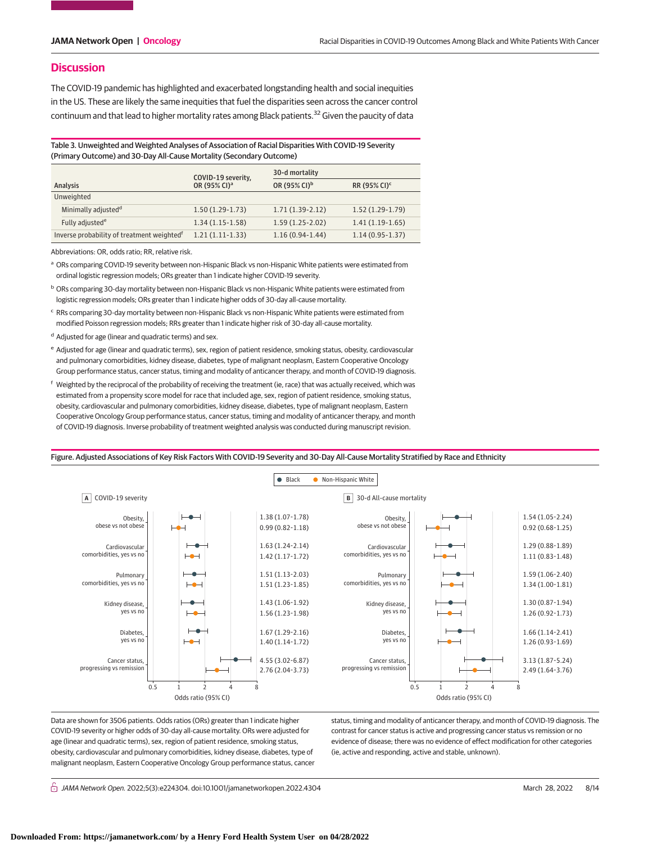### **Discussion**

The COVID-19 pandemic has highlighted and exacerbated longstanding health and social inequities in the US. These are likely the same inequities that fuel the disparities seen across the cancer control continuum and that lead to higher mortality rates among Black patients.<sup>32</sup> Given the paucity of data

Table 3. Unweighted and Weighted Analyses of Association of Racial Disparities With COVID-19 Severity (Primary Outcome) and 30-Day All-Cause Mortality (Secondary Outcome)

| Analysis                                               |                                 | COVID-19 severity,       | 30-d mortality           |                          |  |  |
|--------------------------------------------------------|---------------------------------|--------------------------|--------------------------|--------------------------|--|--|
|                                                        |                                 | OR (95% CI) <sup>a</sup> | OR (95% CI) <sup>b</sup> | RR (95% CI) <sup>c</sup> |  |  |
| Unweighted                                             |                                 |                          |                          |                          |  |  |
|                                                        | Minimally adjusted <sup>d</sup> | $1.50(1.29-1.73)$        | $1.71(1.39-2.12)$        | $1.52(1.29-1.79)$        |  |  |
|                                                        | Fully adjusted <sup>e</sup>     | $1.34(1.15-1.58)$        | $1.59(1.25-2.02)$        | $1.41(1.19-1.65)$        |  |  |
| Inverse probability of treatment weighted <sup>f</sup> |                                 | $1.21(1.11-1.33)$        | $1.16(0.94-1.44)$        | $1.14(0.95-1.37)$        |  |  |

Abbreviations: OR, odds ratio; RR, relative risk.

a ORs comparing COVID-19 severity between non-Hispanic Black vs non-Hispanic White patients were estimated from ordinal logistic regression models; ORs greater than 1 indicate higher COVID-19 severity.

<sup>b</sup> ORs comparing 30-day mortality between non-Hispanic Black vs non-Hispanic White patients were estimated from logistic regression models; ORs greater than 1 indicate higher odds of 30-day all-cause mortality.

<sup>c</sup> RRs comparing 30-day mortality between non-Hispanic Black vs non-Hispanic White patients were estimated from modified Poisson regression models; RRs greater than 1 indicate higher risk of 30-day all-cause mortality.

d Adjusted for age (linear and quadratic terms) and sex.

<sup>e</sup> Adjusted for age (linear and quadratic terms), sex, region of patient residence, smoking status, obesity, cardiovascular and pulmonary comorbidities, kidney disease, diabetes, type of malignant neoplasm, Eastern Cooperative Oncology Group performance status, cancer status, timing and modality of anticancer therapy, and month of COVID-19 diagnosis.

<sup>f</sup> Weighted by the reciprocal of the probability of receiving the treatment (ie, race) that was actually received, which was estimated from a propensity score model for race that included age, sex, region of patient residence, smoking status, obesity, cardiovascular and pulmonary comorbidities, kidney disease, diabetes, type of malignant neoplasm, Eastern Cooperative Oncology Group performance status, cancer status, timing and modality of anticancer therapy, and month of COVID-19 diagnosis. Inverse probability of treatment weighted analysis was conducted during manuscript revision.



Data are shown for 3506 patients. Odds ratios (ORs) greater than 1 indicate higher COVID-19 severity or higher odds of 30-day all-cause mortality. ORs were adjusted for age (linear and quadratic terms), sex, region of patient residence, smoking status, obesity, cardiovascular and pulmonary comorbidities, kidney disease, diabetes, type of malignant neoplasm, Eastern Cooperative Oncology Group performance status, cancer status, timing and modality of anticancer therapy, and month of COVID-19 diagnosis. The contrast for cancer status is active and progressing cancer status vs remission or no evidence of disease; there was no evidence of effect modification for other categories (ie, active and responding, active and stable, unknown).

 $\bigcap$  JAMA Network Open. 2022;5(3):e224304. doi:10.1001/jamanetworkopen.2022.4304 (Reprinted) March 28, 2022 8/14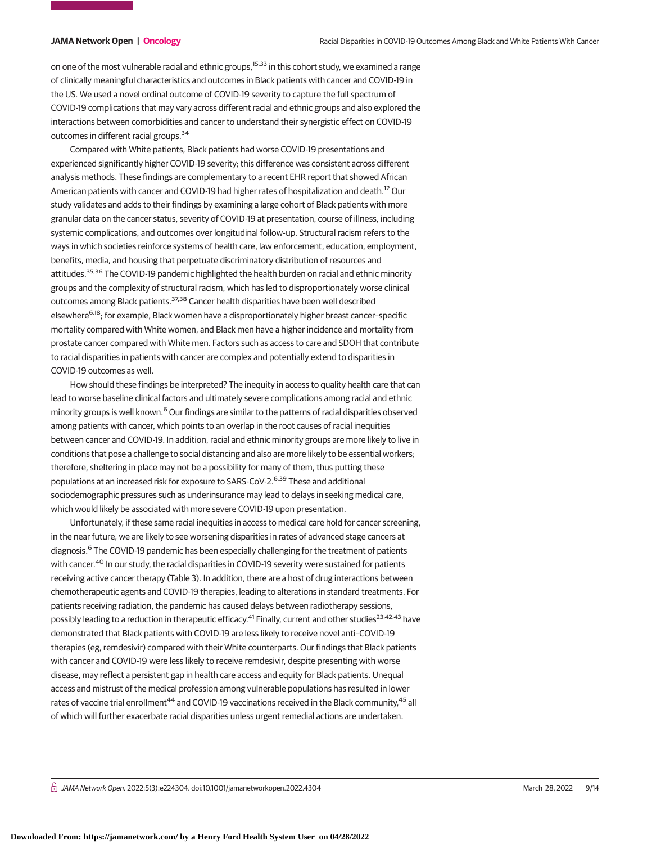on one of the most vulnerable racial and ethnic groups,<sup>15,33</sup> in this cohort study, we examined a range of clinically meaningful characteristics and outcomes in Black patients with cancer and COVID-19 in the US. We used a novel ordinal outcome of COVID-19 severity to capture the full spectrum of COVID-19 complications that may vary across different racial and ethnic groups and also explored the interactions between comorbidities and cancer to understand their synergistic effect on COVID-19 outcomes in different racial groups.<sup>34</sup>

Compared with White patients, Black patients had worse COVID-19 presentations and experienced significantly higher COVID-19 severity; this difference was consistent across different analysis methods. These findings are complementary to a recent EHR report that showed African American patients with cancer and COVID-19 had higher rates of hospitalization and death.<sup>12</sup> Our study validates and adds to their findings by examining a large cohort of Black patients with more granular data on the cancer status, severity of COVID-19 at presentation, course of illness, including systemic complications, and outcomes over longitudinal follow-up. Structural racism refers to the ways in which societies reinforce systems of health care, law enforcement, education, employment, benefits, media, and housing that perpetuate discriminatory distribution of resources and attitudes.35,36 The COVID-19 pandemic highlighted the health burden on racial and ethnic minority groups and the complexity of structural racism, which has led to disproportionately worse clinical outcomes among Black patients.37,38 Cancer health disparities have been well described elsewhere<sup>6,18</sup>; for example, Black women have a disproportionately higher breast cancer-specific mortality compared with White women, and Black men have a higher incidence and mortality from prostate cancer compared with White men. Factors such as access to care and SDOH that contribute to racial disparities in patients with cancer are complex and potentially extend to disparities in COVID-19 outcomes as well.

How should these findings be interpreted? The inequity in access to quality health care that can lead to worse baseline clinical factors and ultimately severe complications among racial and ethnic minority groups is well known.<sup>6</sup> Our findings are similar to the patterns of racial disparities observed among patients with cancer, which points to an overlap in the root causes of racial inequities between cancer and COVID-19. In addition, racial and ethnic minority groups are more likely to live in conditions that pose a challenge to social distancing and also are more likely to be essential workers; therefore, sheltering in place may not be a possibility for many of them, thus putting these populations at an increased risk for exposure to SARS-CoV-2.<sup>6,39</sup> These and additional sociodemographic pressures such as underinsurance may lead to delays in seeking medical care, which would likely be associated with more severe COVID-19 upon presentation.

Unfortunately, if these same racial inequities in access to medical care hold for cancer screening, in the near future, we are likely to see worsening disparities in rates of advanced stage cancers at diagnosis.<sup>6</sup> The COVID-19 pandemic has been especially challenging for the treatment of patients with cancer.<sup>40</sup> In our study, the racial disparities in COVID-19 severity were sustained for patients receiving active cancer therapy (Table 3). In addition, there are a host of drug interactions between chemotherapeutic agents and COVID-19 therapies, leading to alterations in standard treatments. For patients receiving radiation, the pandemic has caused delays between radiotherapy sessions, possibly leading to a reduction in therapeutic efficacy.<sup>41</sup> Finally, current and other studies<sup>23,42,43</sup> have demonstrated that Black patients with COVID-19 are less likely to receive novel anti–COVID-19 therapies (eg, remdesivir) compared with their White counterparts. Our findings that Black patients with cancer and COVID-19 were less likely to receive remdesivir, despite presenting with worse disease, may reflect a persistent gap in health care access and equity for Black patients. Unequal access and mistrust of the medical profession among vulnerable populations has resulted in lower rates of vaccine trial enrollment<sup>44</sup> and COVID-19 vaccinations received in the Black community,<sup>45</sup> all of which will further exacerbate racial disparities unless urgent remedial actions are undertaken.

 $\bigcap$  JAMA Network Open. 2022;5(3):e224304. doi:10.1001/jamanetworkopen.2022.4304 (Reprinted) March 28, 2022 9/14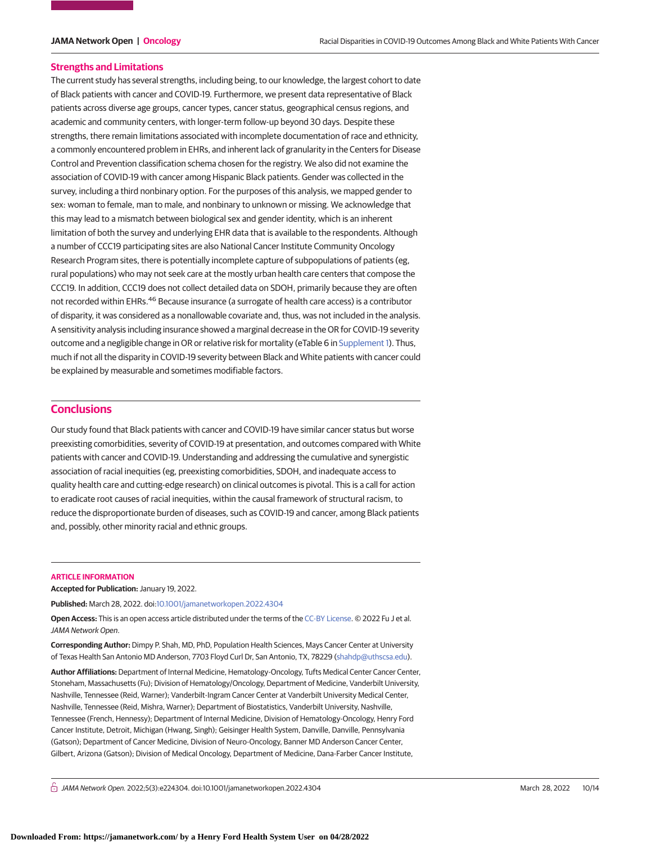#### **Strengths and Limitations**

The current study has several strengths, including being, to our knowledge, the largest cohort to date of Black patients with cancer and COVID-19. Furthermore, we present data representative of Black patients across diverse age groups, cancer types, cancer status, geographical census regions, and academic and community centers, with longer-term follow-up beyond 30 days. Despite these strengths, there remain limitations associated with incomplete documentation of race and ethnicity, a commonly encountered problem in EHRs, and inherent lack of granularity in the Centers for Disease Control and Prevention classification schema chosen for the registry. We also did not examine the association of COVID-19 with cancer among Hispanic Black patients. Gender was collected in the survey, including a third nonbinary option. For the purposes of this analysis, we mapped gender to sex: woman to female, man to male, and nonbinary to unknown or missing. We acknowledge that this may lead to a mismatch between biological sex and gender identity, which is an inherent limitation of both the survey and underlying EHR data that is available to the respondents. Although a number of CCC19 participating sites are also National Cancer Institute Community Oncology Research Program sites, there is potentially incomplete capture of subpopulations of patients (eg, rural populations) who may not seek care at the mostly urban health care centers that compose the CCC19. In addition, CCC19 does not collect detailed data on SDOH, primarily because they are often not recorded within EHRs.<sup>46</sup> Because insurance (a surrogate of health care access) is a contributor of disparity, it was considered as a nonallowable covariate and, thus, was not included in the analysis. A sensitivity analysis including insurance showed a marginal decrease in the OR for COVID-19 severity outcome and a negligible change in OR or relative risk for mortality (eTable 6 in [Supplement 1\)](https://jama.jamanetwork.com/article.aspx?doi=10.1001/jamanetworkopen.2022.4304&utm_campaign=articlePDF%26utm_medium=articlePDFlink%26utm_source=articlePDF%26utm_content=jamanetworkopen.2022.4304). Thus, much if not all the disparity in COVID-19 severity between Black and White patients with cancer could be explained by measurable and sometimes modifiable factors.

### **Conclusions**

Our study found that Black patients with cancer and COVID-19 have similar cancer status but worse preexisting comorbidities, severity of COVID-19 at presentation, and outcomes compared with White patients with cancer and COVID-19. Understanding and addressing the cumulative and synergistic association of racial inequities (eg, preexisting comorbidities, SDOH, and inadequate access to quality health care and cutting-edge research) on clinical outcomes is pivotal. This is a call for action to eradicate root causes of racial inequities, within the causal framework of structural racism, to reduce the disproportionate burden of diseases, such as COVID-19 and cancer, among Black patients and, possibly, other minority racial and ethnic groups.

#### **ARTICLE INFORMATION**

**Accepted for Publication:** January 19, 2022.

**Published:** March 28, 2022. doi[:10.1001/jamanetworkopen.2022.4304](https://jama.jamanetwork.com/article.aspx?doi=10.1001/jamanetworkopen.2022.4304&utm_campaign=articlePDF%26utm_medium=articlePDFlink%26utm_source=articlePDF%26utm_content=jamanetworkopen.2022.4304)

**Open Access:** This is an open access article distributed under the terms of the [CC-BY License.](https://jamanetwork.com/pages/cc-by-license-permissions/?utm_campaign=articlePDF%26utm_medium=articlePDFlink%26utm_source=articlePDF%26utm_content=jamanetworkopen.2022.4304) © 2022 Fu J et al. JAMA Network Open.

**Corresponding Author:** Dimpy P. Shah, MD, PhD, Population Health Sciences, Mays Cancer Center at University of Texas Health San Antonio MD Anderson, 7703 Floyd Curl Dr, San Antonio, TX, 78229 [\(shahdp@uthscsa.edu\)](mailto:shahdp@uthscsa.edu).

**Author Affiliations:** Department of Internal Medicine, Hematology-Oncology, Tufts Medical Center Cancer Center, Stoneham, Massachusetts (Fu); Division of Hematology/Oncology, Department of Medicine, Vanderbilt University, Nashville, Tennessee (Reid, Warner); Vanderbilt-Ingram Cancer Center at Vanderbilt University Medical Center, Nashville, Tennessee (Reid, Mishra, Warner); Department of Biostatistics, Vanderbilt University, Nashville, Tennessee (French, Hennessy); Department of Internal Medicine, Division of Hematology-Oncology, Henry Ford Cancer Institute, Detroit, Michigan (Hwang, Singh); Geisinger Health System, Danville, Danville, Pennsylvania (Gatson); Department of Cancer Medicine, Division of Neuro-Oncology, Banner MD Anderson Cancer Center, Gilbert, Arizona (Gatson); Division of Medical Oncology, Department of Medicine, Dana-Farber Cancer Institute,

 $\bigcap$  JAMA Network Open. 2022;5(3):e224304. doi:10.1001/jamanetworkopen.2022.4304 (Reprinted) March 28, 2022 10/14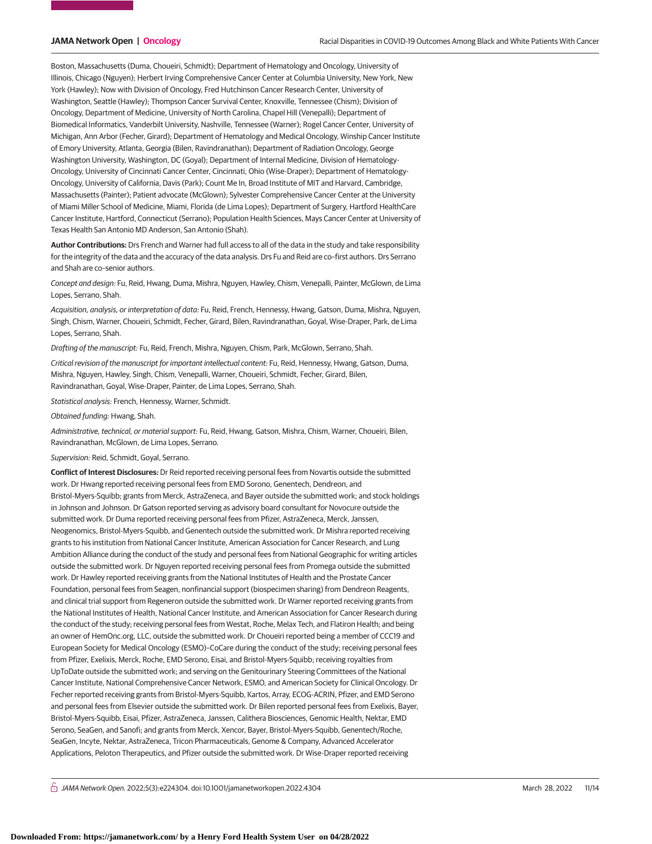Boston, Massachusetts (Duma, Choueiri, Schmidt); Department of Hematology and Oncology, University of Illinois, Chicago (Nguyen); Herbert Irving Comprehensive Cancer Center at Columbia University, New York, New York (Hawley); Now with Division of Oncology, Fred Hutchinson Cancer Research Center, University of Washington, Seattle (Hawley); Thompson Cancer Survival Center, Knoxville, Tennessee (Chism); Division of Oncology, Department of Medicine, University of North Carolina, Chapel Hill (Venepalli); Department of Biomedical Informatics, Vanderbilt University, Nashville, Tennessee (Warner); Rogel Cancer Center, University of Michigan, Ann Arbor (Fecher, Girard); Department of Hematology and Medical Oncology, Winship Cancer Institute of Emory University, Atlanta, Georgia (Bilen, Ravindranathan); Department of Radiation Oncology, George Washington University, Washington, DC (Goyal); Department of Internal Medicine, Division of Hematology-Oncology, University of Cincinnati Cancer Center, Cincinnati, Ohio (Wise-Draper); Department of Hematology-Oncology, University of California, Davis (Park); Count Me In, Broad Institute of MIT and Harvard, Cambridge, Massachusetts (Painter); Patient advocate (McGlown); Sylvester Comprehensive Cancer Center at the University of Miami Miller School of Medicine, Miami, Florida (de Lima Lopes); Department of Surgery, Hartford HealthCare Cancer Institute, Hartford, Connecticut (Serrano); Population Health Sciences, Mays Cancer Center at University of Texas Health San Antonio MD Anderson, San Antonio (Shah).

**Author Contributions:** Drs French and Warner had full access to all of the data in the study and take responsibility for the integrity of the data and the accuracy of the data analysis. Drs Fu and Reid are co–first authors. Drs Serrano and Shah are co–senior authors.

Concept and design: Fu, Reid, Hwang, Duma, Mishra, Nguyen, Hawley, Chism, Venepalli, Painter, McGlown, de Lima Lopes, Serrano, Shah.

Acquisition, analysis, or interpretation of data: Fu, Reid, French, Hennessy, Hwang, Gatson, Duma, Mishra, Nguyen, Singh, Chism, Warner, Choueiri, Schmidt, Fecher, Girard, Bilen, Ravindranathan, Goyal, Wise-Draper, Park, de Lima Lopes, Serrano, Shah.

Drafting of the manuscript: Fu, Reid, French, Mishra, Nguyen, Chism, Park, McGlown, Serrano, Shah.

Critical revision of the manuscript for important intellectual content: Fu, Reid, Hennessy, Hwang, Gatson, Duma, Mishra, Nguyen, Hawley, Singh, Chism, Venepalli, Warner, Choueiri, Schmidt, Fecher, Girard, Bilen, Ravindranathan, Goyal, Wise-Draper, Painter, de Lima Lopes, Serrano, Shah.

Statistical analysis: French, Hennessy, Warner, Schmidt.

Obtained funding: Hwang, Shah.

Administrative, technical, or material support: Fu, Reid, Hwang, Gatson, Mishra, Chism, Warner, Choueiri, Bilen, Ravindranathan, McGlown, de Lima Lopes, Serrano.

Supervision: Reid, Schmidt, Goyal, Serrano.

**Conflict of Interest Disclosures:** Dr Reid reported receiving personal fees from Novartis outside the submitted work. Dr Hwang reported receiving personal fees from EMD Sorono, Genentech, Dendreon, and Bristol-Myers-Squibb; grants from Merck, AstraZeneca, and Bayer outside the submitted work; and stock holdings in Johnson and Johnson. Dr Gatson reported serving as advisory board consultant for Novocure outside the submitted work. Dr Duma reported receiving personal fees from Pfizer, AstraZeneca, Merck, Janssen, Neogenomics, Bristol-Myers-Squibb, and Genentech outside the submitted work. Dr Mishra reported receiving grants to his institution from National Cancer Institute, American Association for Cancer Research, and Lung Ambition Alliance during the conduct of the study and personal fees from National Geographic for writing articles outside the submitted work. Dr Nguyen reported receiving personal fees from Promega outside the submitted work. Dr Hawley reported receiving grants from the National Institutes of Health and the Prostate Cancer Foundation, personal fees from Seagen, nonfinancial support (biospecimen sharing) from Dendreon Reagents, and clinical trial support from Regeneron outside the submitted work. Dr Warner reported receiving grants from the National Institutes of Health, National Cancer Institute, and American Association for Cancer Research during the conduct of the study; receiving personal fees from Westat, Roche, Melax Tech, and Flatiron Health; and being an owner of HemOnc.org, LLC, outside the submitted work. Dr Choueiri reported being a member of CCC19 and European Society for Medical Oncology (ESMO)–CoCare during the conduct of the study; receiving personal fees from Pfizer, Exelixis, Merck, Roche, EMD Serono, Eisai, and Bristol-Myers-Squibb; receiving royalties from UpToDate outside the submitted work; and serving on the Genitourinary Steering Committees of the National Cancer Institute, National Comprehensive Cancer Network, ESMO, and American Society for Clinical Oncology. Dr Fecher reported receiving grants from Bristol-Myers-Squibb, Kartos, Array, ECOG-ACRIN, Pfizer, and EMD Serono and personal fees from Elsevier outside the submitted work. Dr Bilen reported personal fees from Exelixis, Bayer, Bristol-Myers-Squibb, Eisai, Pfizer, AstraZeneca, Janssen, Calithera Biosciences, Genomic Health, Nektar, EMD Serono, SeaGen, and Sanofi; and grants from Merck, Xencor, Bayer, Bristol-Myers-Squibb, Genentech/Roche, SeaGen, Incyte, Nektar, AstraZeneca, Tricon Pharmaceuticals, Genome & Company, Advanced Accelerator Applications, Peloton Therapeutics, and Pfizer outside the submitted work. Dr Wise-Draper reported receiving

 $\bigcap$  JAMA Network Open. 2022;5(3):e224304. doi:10.1001/jamanetworkopen.2022.4304 (Reprinted) March 28, 2022 11/14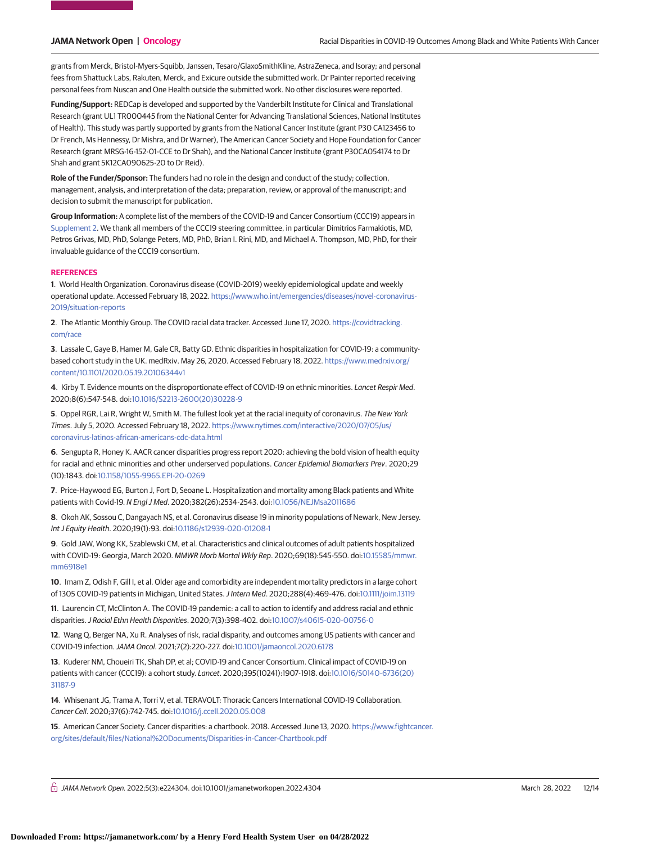grants from Merck, Bristol-Myers-Squibb, Janssen, Tesaro/GlaxoSmithKline, AstraZeneca, and Isoray; and personal fees from Shattuck Labs, Rakuten, Merck, and Exicure outside the submitted work. Dr Painter reported receiving personal fees from Nuscan and One Health outside the submitted work. No other disclosures were reported.

**Funding/Support:** REDCap is developed and supported by the Vanderbilt Institute for Clinical and Translational Research (grant UL1 TR000445 from the National Center for Advancing Translational Sciences, National Institutes of Health). This study was partly supported by grants from the National Cancer Institute (grant P30 CA123456 to Dr French, Ms Hennessy, Dr Mishra, and Dr Warner), The American Cancer Society and Hope Foundation for Cancer Research (grant MRSG-16-152-01-CCE to Dr Shah), and the National Cancer Institute (grant P30CA054174 to Dr Shah and grant 5K12CA090625-20 to Dr Reid).

**Role of the Funder/Sponsor:** The funders had no role in the design and conduct of the study; collection, management, analysis, and interpretation of the data; preparation, review, or approval of the manuscript; and decision to submit the manuscript for publication.

**Group Information:** A complete list of the members of the COVID-19 and Cancer Consortium (CCC19) appears in [Supplement 2.](https://jama.jamanetwork.com/article.aspx?doi=10.1001/jamanetworkopen.2022.4304&utm_campaign=articlePDF%26utm_medium=articlePDFlink%26utm_source=articlePDF%26utm_content=jamanetworkopen.2022.4304) We thank all members of the CCC19 steering committee, in particular Dimitrios Farmakiotis, MD, Petros Grivas, MD, PhD, Solange Peters, MD, PhD, Brian I. Rini, MD, and Michael A. Thompson, MD, PhD, for their invaluable guidance of the CCC19 consortium.

#### **REFERENCES**

**1**. World Health Organization. Coronavirus disease (COVID-2019) weekly epidemiological update and weekly operational update. Accessed February 18, 2022. [https://www.who.int/emergencies/diseases/novel-coronavirus-](https://www.who.int/emergencies/diseases/novel-coronavirus-2019/situation-reports)[2019/situation-reports](https://www.who.int/emergencies/diseases/novel-coronavirus-2019/situation-reports)

**2**. The Atlantic Monthly Group. The COVID racial data tracker. Accessed June 17, 2020. [https://covidtracking.](https://covidtracking.com/race) [com/race](https://covidtracking.com/race)

**3**. Lassale C, Gaye B, Hamer M, Gale CR, Batty GD. Ethnic disparities in hospitalization for COVID-19: a communitybased cohort study in the UK. medRxiv. May 26, 2020. Accessed February 18, 2022. [https://www.medrxiv.org/](https://www.medrxiv.org/content/10.1101/2020.05.19.20106344v1) [content/10.1101/2020.05.19.20106344v1](https://www.medrxiv.org/content/10.1101/2020.05.19.20106344v1)

**4**. Kirby T. Evidence mounts on the disproportionate effect of COVID-19 on ethnic minorities. Lancet Respir Med. 2020;8(6):547-548. doi[:10.1016/S2213-2600\(20\)30228-9](https://dx.doi.org/10.1016/S2213-2600(20)30228-9)

**5**. Oppel RGR, Lai R, Wright W, Smith M. The fullest look yet at the racial inequity of coronavirus. The New York Times. July 5, 2020. Accessed February 18, 2022. [https://www.nytimes.com/interactive/2020/07/05/us/](https://www.nytimes.com/interactive/2020/07/05/us/coronavirus-latinos-african-americans-cdc-data.html) [coronavirus-latinos-african-americans-cdc-data.html](https://www.nytimes.com/interactive/2020/07/05/us/coronavirus-latinos-african-americans-cdc-data.html)

**6**. Sengupta R, Honey K. AACR cancer disparities progress report 2020: achieving the bold vision of health equity for racial and ethnic minorities and other underserved populations. Cancer Epidemiol Biomarkers Prev. 2020;29 (10):1843. doi[:10.1158/1055-9965.EPI-20-0269](https://dx.doi.org/10.1158/1055-9965.EPI-20-0269)

**7**. Price-Haywood EG, Burton J, Fort D, Seoane L. Hospitalization and mortality among Black patients and White patients with Covid-19. N Engl J Med. 2020;382(26):2534-2543. doi[:10.1056/NEJMsa2011686](https://dx.doi.org/10.1056/NEJMsa2011686)

**8**. Okoh AK, Sossou C, Dangayach NS, et al. Coronavirus disease 19 in minority populations of Newark, New Jersey. Int J Equity Health. 2020;19(1):93. doi[:10.1186/s12939-020-01208-1](https://dx.doi.org/10.1186/s12939-020-01208-1)

**9**. Gold JAW, Wong KK, Szablewski CM, et al. Characteristics and clinical outcomes of adult patients hospitalized with COVID-19: Georgia, March 2020. MMWR Morb Mortal Wkly Rep. 2020;69(18):545-550. doi[:10.15585/mmwr.](https://dx.doi.org/10.15585/mmwr.mm6918e1) [mm6918e1](https://dx.doi.org/10.15585/mmwr.mm6918e1)

**10**. Imam Z, Odish F, Gill I, et al. Older age and comorbidity are independent mortality predictors in a large cohort of 1305 COVID-19 patients in Michigan, United States.J Intern Med. 2020;288(4):469-476. doi[:10.1111/joim.13119](https://dx.doi.org/10.1111/joim.13119)

**11**. Laurencin CT, McClinton A. The COVID-19 pandemic: a call to action to identify and address racial and ethnic disparities.J Racial Ethn Health Disparities. 2020;7(3):398-402. doi[:10.1007/s40615-020-00756-0](https://dx.doi.org/10.1007/s40615-020-00756-0)

**12**. Wang Q, Berger NA, Xu R. Analyses of risk, racial disparity, and outcomes among US patients with cancer and COVID-19 infection.JAMA Oncol. 2021;7(2):220-227. doi[:10.1001/jamaoncol.2020.6178](https://jama.jamanetwork.com/article.aspx?doi=10.1001/jamaoncol.2020.6178&utm_campaign=articlePDF%26utm_medium=articlePDFlink%26utm_source=articlePDF%26utm_content=jamanetworkopen.2022.4304)

**13**. Kuderer NM, Choueiri TK, Shah DP, et al; COVID-19 and Cancer Consortium. Clinical impact of COVID-19 on patients with cancer (CCC19): a cohort study. Lancet. 2020;395(10241):1907-1918. doi[:10.1016/S0140-6736\(20\)](https://dx.doi.org/10.1016/S0140-6736(20)31187-9) [31187-9](https://dx.doi.org/10.1016/S0140-6736(20)31187-9)

**14**. Whisenant JG, Trama A, Torri V, et al. TERAVOLT: Thoracic Cancers International COVID-19 Collaboration. Cancer Cell. 2020;37(6):742-745. doi[:10.1016/j.ccell.2020.05.008](https://dx.doi.org/10.1016/j.ccell.2020.05.008)

**15**. American Cancer Society. Cancer disparities: a chartbook. 2018. Accessed June 13, 2020. [https://www.fightcancer.](https://www.fightcancer.org/sites/default/files/National%20Documents/Disparities-in-Cancer-Chartbook.pdf) [org/sites/default/files/National%20Documents/Disparities-in-Cancer-Chartbook.pdf](https://www.fightcancer.org/sites/default/files/National%20Documents/Disparities-in-Cancer-Chartbook.pdf)

 $\bigcap$  JAMA Network Open. 2022;5(3):e224304. doi:10.1001/jamanetworkopen.2022.4304 (Reprinted) March 28, 2022 12/14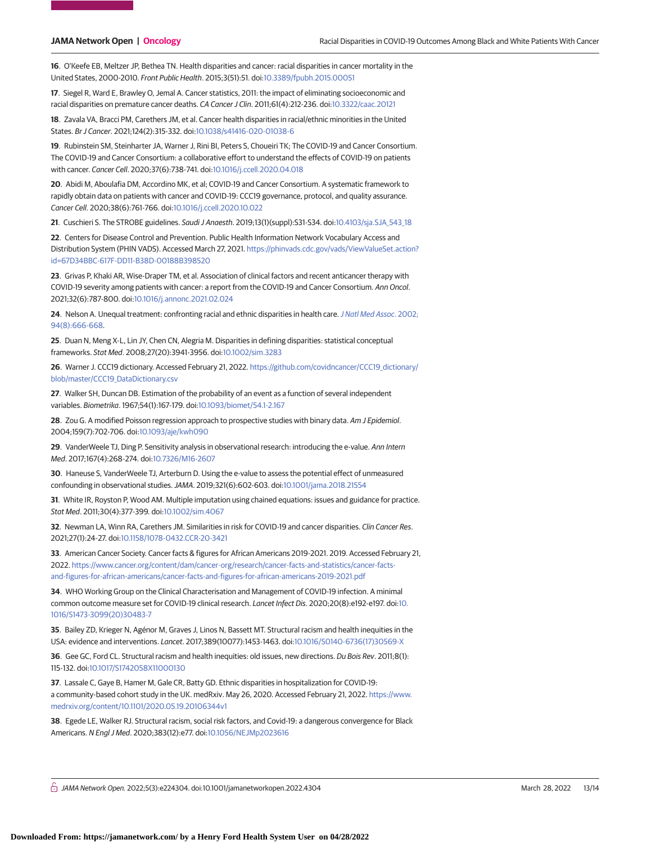**16**. O'Keefe EB, Meltzer JP, Bethea TN. Health disparities and cancer: racial disparities in cancer mortality in the United States, 2000-2010. Front Public Health. 2015;3(51):51. doi[:10.3389/fpubh.2015.00051](https://dx.doi.org/10.3389/fpubh.2015.00051)

**17**. Siegel R, Ward E, Brawley O, Jemal A. Cancer statistics, 2011: the impact of eliminating socioeconomic and racial disparities on premature cancer deaths. CA Cancer J Clin. 2011;61(4):212-236. doi[:10.3322/caac.20121](https://dx.doi.org/10.3322/caac.20121)

**18**. Zavala VA, Bracci PM, Carethers JM, et al. Cancer health disparities in racial/ethnic minorities in the United States. Br J Cancer. 2021;124(2):315-332. doi[:10.1038/s41416-020-01038-6](https://dx.doi.org/10.1038/s41416-020-01038-6)

**19**. Rubinstein SM, Steinharter JA, Warner J, Rini BI, Peters S, Choueiri TK; The COVID-19 and Cancer Consortium. The COVID-19 and Cancer Consortium: a collaborative effort to understand the effects of COVID-19 on patients with cancer. Cancer Cell. 2020;37(6):738-741. doi[:10.1016/j.ccell.2020.04.018](https://dx.doi.org/10.1016/j.ccell.2020.04.018)

**20**. Abidi M, Aboulafia DM, Accordino MK, et al; COVID-19 and Cancer Consortium. A systematic framework to rapidly obtain data on patients with cancer and COVID-19: CCC19 governance, protocol, and quality assurance. Cancer Cell. 2020;38(6):761-766. doi[:10.1016/j.ccell.2020.10.022](https://dx.doi.org/10.1016/j.ccell.2020.10.022)

**21**. Cuschieri S. The STROBE guidelines. Saudi J Anaesth. 2019;13(1)(suppl):S31-S34. doi[:10.4103/sja.SJA\\_543\\_18](https://dx.doi.org/10.4103/sja.SJA_543_18)

**22**. Centers for Disease Control and Prevention. Public Health Information Network Vocabulary Access and Distribution System (PHIN VADS). Accessed March 27, 2021. [https://phinvads.cdc.gov/vads/ViewValueSet.action?](https://phinvads.cdc.gov/vads/ViewValueSet.action?id=67D34BBC-617F-DD11-B38D-00188B398520) [id=67D34BBC-617F-DD11-B38D-00188B398520](https://phinvads.cdc.gov/vads/ViewValueSet.action?id=67D34BBC-617F-DD11-B38D-00188B398520)

**23**. Grivas P, Khaki AR, Wise-Draper TM, et al. Association of clinical factors and recent anticancer therapy with COVID-19 severity among patients with cancer: a report from the COVID-19 and Cancer Consortium. Ann Oncol. 2021;32(6):787-800. doi[:10.1016/j.annonc.2021.02.024](https://dx.doi.org/10.1016/j.annonc.2021.02.024)

**24**. Nelson A. Unequal treatment: confronting racial and ethnic disparities in health care.[J Natl Med Assoc](https://www.ncbi.nlm.nih.gov/pubmed/12152921). 2002; [94\(8\):666-668.](https://www.ncbi.nlm.nih.gov/pubmed/12152921)

**25**. Duan N, Meng X-L, Lin JY, Chen CN, Alegria M. Disparities in defining disparities: statistical conceptual frameworks. Stat Med. 2008;27(20):3941-3956. doi[:10.1002/sim.3283](https://dx.doi.org/10.1002/sim.3283)

**26**. Warner J. CCC19 dictionary. Accessed February 21, 2022. [https://github.com/covidncancer/CCC19\\_dictionary/](https://github.com/covidncancer/CCC19_dictionary/blob/master/CCC19_DataDictionary.csv) [blob/master/CCC19\\_DataDictionary.csv](https://github.com/covidncancer/CCC19_dictionary/blob/master/CCC19_DataDictionary.csv)

**27**. Walker SH, Duncan DB. Estimation of the probability of an event as a function of several independent variables. Biometrika. 1967;54(1):167-179. doi[:10.1093/biomet/54.1-2.167](https://dx.doi.org/10.1093/biomet/54.1-2.167)

**28**. Zou G. A modified Poisson regression approach to prospective studies with binary data. Am J Epidemiol. 2004;159(7):702-706. doi[:10.1093/aje/kwh090](https://dx.doi.org/10.1093/aje/kwh090)

**29**. VanderWeele TJ, Ding P. Sensitivity analysis in observational research: introducing the e-value. Ann Intern Med. 2017;167(4):268-274. doi[:10.7326/M16-2607](https://dx.doi.org/10.7326/M16-2607)

**30**. Haneuse S, VanderWeele TJ, Arterburn D. Using the e-value to assess the potential effect of unmeasured confounding in observational studies.JAMA. 2019;321(6):602-603. doi[:10.1001/jama.2018.21554](https://jama.jamanetwork.com/article.aspx?doi=10.1001/jama.2018.21554&utm_campaign=articlePDF%26utm_medium=articlePDFlink%26utm_source=articlePDF%26utm_content=jamanetworkopen.2022.4304)

**31**. White IR, Royston P, Wood AM. Multiple imputation using chained equations: issues and guidance for practice. Stat Med. 2011;30(4):377-399. doi[:10.1002/sim.4067](https://dx.doi.org/10.1002/sim.4067)

**32**. Newman LA, Winn RA, Carethers JM. Similarities in risk for COVID-19 and cancer disparities. Clin Cancer Res. 2021;27(1):24-27. doi[:10.1158/1078-0432.CCR-20-3421](https://dx.doi.org/10.1158/1078-0432.CCR-20-3421)

**33**. American Cancer Society. Cancer facts & figures for African Americans 2019-2021. 2019. Accessed February 21, 2022. [https://www.cancer.org/content/dam/cancer-org/research/cancer-facts-and-statistics/cancer-facts](https://www.cancer.org/content/dam/cancer-org/research/cancer-facts-and-statistics/cancer-facts-and-figures-for-african-americans/cancer-facts-and-figures-for-african-americans-2019-2021.pdf)[and-figures-for-african-americans/cancer-facts-and-figures-for-african-americans-2019-2021.pdf](https://www.cancer.org/content/dam/cancer-org/research/cancer-facts-and-statistics/cancer-facts-and-figures-for-african-americans/cancer-facts-and-figures-for-african-americans-2019-2021.pdf)

**34**. WHO Working Group on the Clinical Characterisation and Management of COVID-19 infection. A minimal common outcome measure set for COVID-19 clinical research. Lancet Infect Dis. 2020;20(8):e192-e197. doi[:10.](https://dx.doi.org/10.1016/S1473-3099(20)30483-7) [1016/S1473-3099\(20\)30483-7](https://dx.doi.org/10.1016/S1473-3099(20)30483-7)

**35**. Bailey ZD, Krieger N, Agénor M, Graves J, Linos N, Bassett MT. Structural racism and health inequities in the USA: evidence and interventions. Lancet. 2017;389(10077):1453-1463. doi[:10.1016/S0140-6736\(17\)30569-X](https://dx.doi.org/10.1016/S0140-6736(17)30569-X)

**36**. Gee GC, Ford CL. Structural racism and health inequities: old issues, new directions. Du Bois Rev. 2011;8(1): 115-132. doi[:10.1017/S1742058X11000130](https://dx.doi.org/10.1017/S1742058X11000130)

**37**. Lassale C, Gaye B, Hamer M, Gale CR, Batty GD. Ethnic disparities in hospitalization for COVID-19: a community-based cohort study in the UK. medRxiv. May 26, 2020. Accessed February 21, 2022. [https://www.](https://www.medrxiv.org/content/10.1101/2020.05.19.20106344v1) [medrxiv.org/content/10.1101/2020.05.19.20106344v1](https://www.medrxiv.org/content/10.1101/2020.05.19.20106344v1)

**38**. Egede LE, Walker RJ. Structural racism, social risk factors, and Covid-19: a dangerous convergence for Black Americans. N Engl J Med. 2020;383(12):e77. doi[:10.1056/NEJMp2023616](https://dx.doi.org/10.1056/NEJMp2023616)

 $\stackrel{\frown}{\cap}$  JAMA Network Open. 2022;5(3):e224304. doi:10.1001/jamanetworkopen.2022.4304 (Reprinted) March 28, 2022 13/14